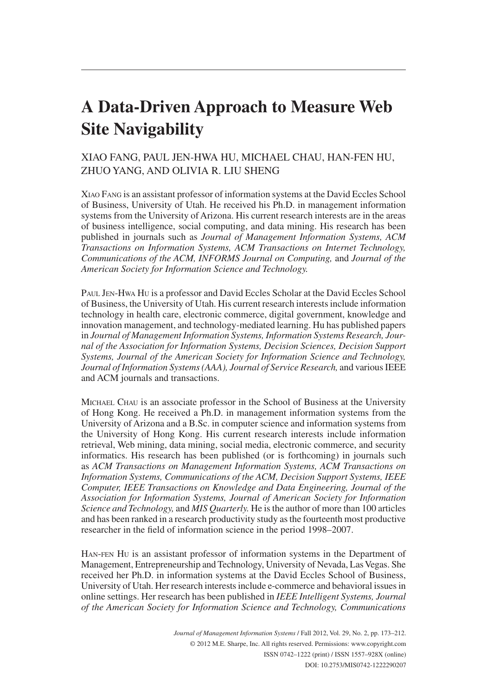# **A Data-Driven Approach to Measure Web Site Navigability**

## Xiao Fang, Paul Jen-Hwa Hu, Michael Chau, Han-fen Hu, Zhuo Yang, and Olivia R. Liu Sheng

Xiao Fang is an assistant professor of information systems at the David Eccles School of Business, University of Utah. He received his Ph.D. in management information systems from the University of Arizona. His current research interests are in the areas of business intelligence, social computing, and data mining. His research has been published in journals such as *Journal of Management Information Systems, ACM Transactions on Information Systems, ACM Transactions on Internet Technology, Communications of the ACM, INFORMS Journal on Computing,* and *Journal of the American Society for Information Science and Technology.*

Paul Jen-Hwa Hu is a professor and David Eccles Scholar at the David Eccles School of Business, the University of Utah. His current research interests include information technology in health care, electronic commerce, digital government, knowledge and innovation management, and technology-mediated learning. Hu has published papers in *Journal of Management Information Systems, Information Systems Research, Journal of the Association for Information Systems, Decision Sciences, Decision Support Systems, Journal of the American Society for Information Science and Technology, Journal of Information Systems (AAA), Journal of Service Research,* and various IEEE and ACM journals and transactions.

Michael Chau is an associate professor in the School of Business at the University of Hong Kong. He received a Ph.D. in management information systems from the University of Arizona and a B.Sc. in computer science and information systems from the University of Hong Kong. His current research interests include information retrieval, Web mining, data mining, social media, electronic commerce, and security informatics. His research has been published (or is forthcoming) in journals such as *ACM Transactions on Management Information Systems, ACM Transactions on Information Systems, Communications of the ACM, Decision Support Systems, IEEE Computer, IEEE Transactions on Knowledge and Data Engineering, Journal of the Association for Information Systems, Journal of American Society for Information Science and Technology,* and *MIS Quarterly.* He is the author of more than 100 articles and has been ranked in a research productivity study as the fourteenth most productive researcher in the field of information science in the period 1998–2007.

Han-fen Hu is an assistant professor of information systems in the Department of Management, Entrepreneurship and Technology, University of Nevada, Las Vegas. She received her Ph.D. in information systems at the David Eccles School of Business, University of Utah. Her research interests include e-commerce and behavioral issues in online settings. Her research has been published in *IEEE Intelligent Systems, Journal of the American Society for Information Science and Technology, Communications*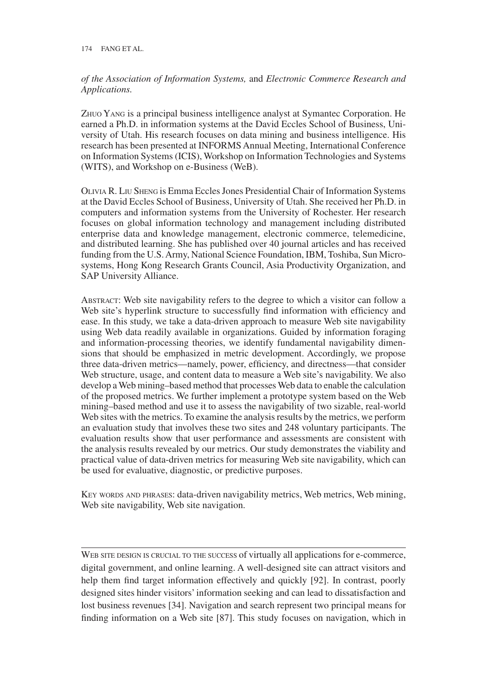#### 174 FANG ET AL.

#### *of the Association of Information Systems,* and *Electronic Commerce Research and Applications.*

Zhuo Yang is a principal business intelligence analyst at Symantec Corporation. He earned a Ph.D. in information systems at the David Eccles School of Business, University of Utah. His research focuses on data mining and business intelligence. His research has been presented at INFORMS Annual Meeting, International Conference on Information Systems (ICIS), Workshop on Information Technologies and Systems (WITS), and Workshop on e-Business (WeB).

Olivia R. Liu Sheng is Emma Eccles Jones Presidential Chair of Information Systems at the David Eccles School of Business, University of Utah. She received her Ph.D. in computers and information systems from the University of Rochester. Her research focuses on global information technology and management including distributed enterprise data and knowledge management, electronic commerce, telemedicine, and distributed learning. She has published over 40 journal articles and has received funding from the U.S. Army, National Science Foundation, IBM, Toshiba, Sun Microsystems, Hong Kong Research Grants Council, Asia Productivity Organization, and SAP University Alliance.

ABSTRACT: Web site navigability refers to the degree to which a visitor can follow a Web site's hyperlink structure to successfully find information with efficiency and ease. In this study, we take a data-driven approach to measure Web site navigability using Web data readily available in organizations. Guided by information foraging and information-processing theories, we identify fundamental navigability dimensions that should be emphasized in metric development. Accordingly, we propose three data-driven metrics—namely, power, efficiency, and directness—that consider Web structure, usage, and content data to measure a Web site's navigability. We also develop a Web mining–based method that processes Web data to enable the calculation of the proposed metrics. We further implement a prototype system based on the Web mining–based method and use it to assess the navigability of two sizable, real-world Web sites with the metrics. To examine the analysis results by the metrics, we perform an evaluation study that involves these two sites and 248 voluntary participants. The evaluation results show that user performance and assessments are consistent with the analysis results revealed by our metrics. Our study demonstrates the viability and practical value of data-driven metrics for measuring Web site navigability, which can be used for evaluative, diagnostic, or predictive purposes.

Key words and phrases: data-driven navigability metrics, Web metrics, Web mining, Web site navigability, Web site navigation.

WEB SITE DESIGN IS CRUCIAL TO THE SUCCESS of virtually all applications for e-commerce, digital government, and online learning. A well-designed site can attract visitors and help them find target information effectively and quickly [92]. In contrast, poorly designed sites hinder visitors' information seeking and can lead to dissatisfaction and lost business revenues [34]. Navigation and search represent two principal means for finding information on a Web site [87]. This study focuses on navigation, which in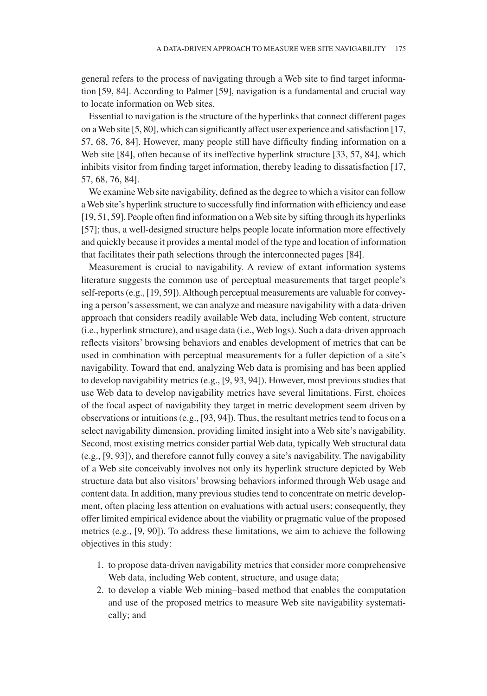general refers to the process of navigating through a Web site to find target information [59, 84]. According to Palmer [59], navigation is a fundamental and crucial way to locate information on Web sites.

Essential to navigation is the structure of the hyperlinks that connect different pages on a Web site [5, 80], which can significantly affect user experience and satisfaction [17, 57, 68, 76, 84]. However, many people still have difficulty finding information on a Web site [84], often because of its ineffective hyperlink structure [33, 57, 84], which inhibits visitor from finding target information, thereby leading to dissatisfaction [17, 57, 68, 76, 84].

We examine Web site navigability, defined as the degree to which a visitor can follow a Web site's hyperlink structure to successfully find information with efficiency and ease [19, 51, 59]. People often find information on a Web site by sifting through its hyperlinks [57]; thus, a well-designed structure helps people locate information more effectively and quickly because it provides a mental model of the type and location of information that facilitates their path selections through the interconnected pages [84].

Measurement is crucial to navigability. A review of extant information systems literature suggests the common use of perceptual measurements that target people's self-reports (e.g., [19, 59]). Although perceptual measurements are valuable for conveying a person's assessment, we can analyze and measure navigability with a data-driven approach that considers readily available Web data, including Web content, structure (i.e., hyperlink structure), and usage data (i.e., Web logs). Such a data-driven approach reflects visitors' browsing behaviors and enables development of metrics that can be used in combination with perceptual measurements for a fuller depiction of a site's navigability. Toward that end, analyzing Web data is promising and has been applied to develop navigability metrics (e.g., [9, 93, 94]). However, most previous studies that use Web data to develop navigability metrics have several limitations. First, choices of the focal aspect of navigability they target in metric development seem driven by observations or intuitions (e.g., [93, 94]). Thus, the resultant metrics tend to focus on a select navigability dimension, providing limited insight into a Web site's navigability. Second, most existing metrics consider partial Web data, typically Web structural data (e.g., [9, 93]), and therefore cannot fully convey a site's navigability. The navigability of a Web site conceivably involves not only its hyperlink structure depicted by Web structure data but also visitors' browsing behaviors informed through Web usage and content data. In addition, many previous studies tend to concentrate on metric development, often placing less attention on evaluations with actual users; consequently, they offer limited empirical evidence about the viability or pragmatic value of the proposed metrics (e.g., [9, 90]). To address these limitations, we aim to achieve the following objectives in this study:

- 1. to propose data-driven navigability metrics that consider more comprehensive Web data, including Web content, structure, and usage data;
- 2. to develop a viable Web mining–based method that enables the computation and use of the proposed metrics to measure Web site navigability systematically; and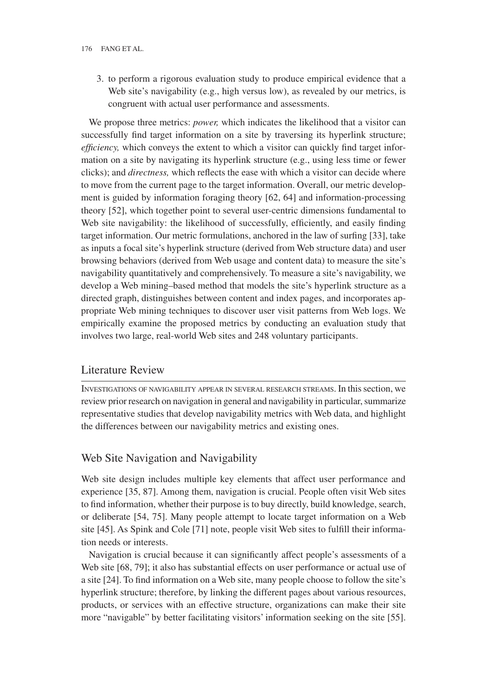3. to perform a rigorous evaluation study to produce empirical evidence that a Web site's navigability (e.g., high versus low), as revealed by our metrics, is congruent with actual user performance and assessments.

We propose three metrics: *power,* which indicates the likelihood that a visitor can successfully find target information on a site by traversing its hyperlink structure; *efficiency,* which conveys the extent to which a visitor can quickly find target information on a site by navigating its hyperlink structure (e.g., using less time or fewer clicks); and *directness,* which reflects the ease with which a visitor can decide where to move from the current page to the target information. Overall, our metric development is guided by information foraging theory [62, 64] and information-processing theory [52], which together point to several user-centric dimensions fundamental to Web site navigability: the likelihood of successfully, efficiently, and easily finding target information. Our metric formulations, anchored in the law of surfing [33], take as inputs a focal site's hyperlink structure (derived from Web structure data) and user browsing behaviors (derived from Web usage and content data) to measure the site's navigability quantitatively and comprehensively. To measure a site's navigability, we develop a Web mining–based method that models the site's hyperlink structure as a directed graph, distinguishes between content and index pages, and incorporates appropriate Web mining techniques to discover user visit patterns from Web logs. We empirically examine the proposed metrics by conducting an evaluation study that involves two large, real-world Web sites and 248 voluntary participants.

## Literature Review

Investigations of navigability appear in several research streams. In this section, we review prior research on navigation in general and navigability in particular, summarize representative studies that develop navigability metrics with Web data, and highlight the differences between our navigability metrics and existing ones.

## Web Site Navigation and Navigability

Web site design includes multiple key elements that affect user performance and experience [35, 87]. Among them, navigation is crucial. People often visit Web sites to find information, whether their purpose is to buy directly, build knowledge, search, or deliberate [54, 75]. Many people attempt to locate target information on a Web site [45]. As Spink and Cole [71] note, people visit Web sites to fulfill their information needs or interests.

Navigation is crucial because it can significantly affect people's assessments of a Web site [68, 79]; it also has substantial effects on user performance or actual use of a site [24]. To find information on a Web site, many people choose to follow the site's hyperlink structure; therefore, by linking the different pages about various resources, products, or services with an effective structure, organizations can make their site more "navigable" by better facilitating visitors' information seeking on the site [55].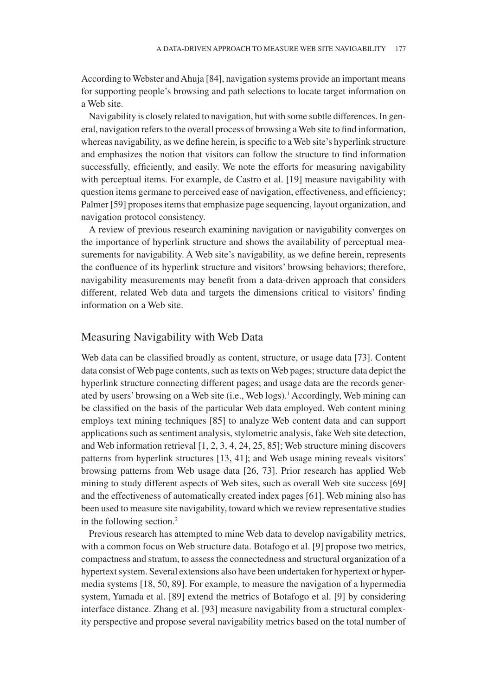According to Webster and Ahuja [84], navigation systems provide an important means for supporting people's browsing and path selections to locate target information on a Web site.

Navigability is closely related to navigation, but with some subtle differences. In general, navigation refers to the overall process of browsing a Web site to find information, whereas navigability, as we define herein, is specific to a Web site's hyperlink structure and emphasizes the notion that visitors can follow the structure to find information successfully, efficiently, and easily. We note the efforts for measuring navigability with perceptual items. For example, de Castro et al. [19] measure navigability with question items germane to perceived ease of navigation, effectiveness, and efficiency; Palmer [59] proposes items that emphasize page sequencing, layout organization, and navigation protocol consistency.

A review of previous research examining navigation or navigability converges on the importance of hyperlink structure and shows the availability of perceptual measurements for navigability. A Web site's navigability, as we define herein, represents the confluence of its hyperlink structure and visitors' browsing behaviors; therefore, navigability measurements may benefit from a data-driven approach that considers different, related Web data and targets the dimensions critical to visitors' finding information on a Web site.

## Measuring Navigability with Web Data

Web data can be classified broadly as content, structure, or usage data [73]. Content data consist of Web page contents, such as texts on Web pages; structure data depict the hyperlink structure connecting different pages; and usage data are the records generated by users' browsing on a Web site (i.e., Web logs).<sup>1</sup> Accordingly, Web mining can be classified on the basis of the particular Web data employed. Web content mining employs text mining techniques [85] to analyze Web content data and can support applications such as sentiment analysis, stylometric analysis, fake Web site detection, and Web information retrieval [1, 2, 3, 4, 24, 25, 85]; Web structure mining discovers patterns from hyperlink structures [13, 41]; and Web usage mining reveals visitors' browsing patterns from Web usage data [26, 73]. Prior research has applied Web mining to study different aspects of Web sites, such as overall Web site success [69] and the effectiveness of automatically created index pages [61]. Web mining also has been used to measure site navigability, toward which we review representative studies in the following section.2

Previous research has attempted to mine Web data to develop navigability metrics, with a common focus on Web structure data. Botafogo et al. [9] propose two metrics, compactness and stratum, to assess the connectedness and structural organization of a hypertext system. Several extensions also have been undertaken for hypertext or hypermedia systems [18, 50, 89]. For example, to measure the navigation of a hypermedia system, Yamada et al. [89] extend the metrics of Botafogo et al. [9] by considering interface distance. Zhang et al. [93] measure navigability from a structural complexity perspective and propose several navigability metrics based on the total number of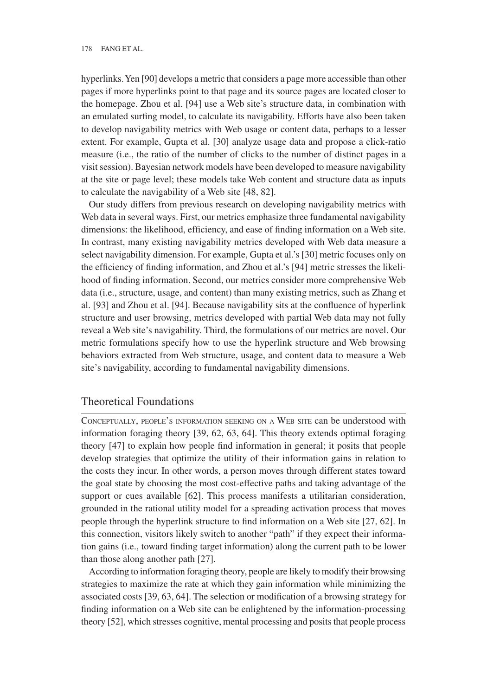hyperlinks. Yen [90] develops a metric that considers a page more accessible than other pages if more hyperlinks point to that page and its source pages are located closer to the homepage. Zhou et al. [94] use a Web site's structure data, in combination with an emulated surfing model, to calculate its navigability. Efforts have also been taken to develop navigability metrics with Web usage or content data, perhaps to a lesser extent. For example, Gupta et al. [30] analyze usage data and propose a click-ratio measure (i.e., the ratio of the number of clicks to the number of distinct pages in a visit session). Bayesian network models have been developed to measure navigability at the site or page level; these models take Web content and structure data as inputs to calculate the navigability of a Web site [48, 82].

Our study differs from previous research on developing navigability metrics with Web data in several ways. First, our metrics emphasize three fundamental navigability dimensions: the likelihood, efficiency, and ease of finding information on a Web site. In contrast, many existing navigability metrics developed with Web data measure a select navigability dimension. For example, Gupta et al.'s [30] metric focuses only on the efficiency of finding information, and Zhou et al.'s [94] metric stresses the likelihood of finding information. Second, our metrics consider more comprehensive Web data (i.e., structure, usage, and content) than many existing metrics, such as Zhang et al. [93] and Zhou et al. [94]. Because navigability sits at the confluence of hyperlink structure and user browsing, metrics developed with partial Web data may not fully reveal a Web site's navigability. Third, the formulations of our metrics are novel. Our metric formulations specify how to use the hyperlink structure and Web browsing behaviors extracted from Web structure, usage, and content data to measure a Web site's navigability, according to fundamental navigability dimensions.

#### Theoretical Foundations

Conceptually, people's information seeking on <sup>a</sup> Web site can be understood with information foraging theory [39, 62, 63, 64]. This theory extends optimal foraging theory [47] to explain how people find information in general; it posits that people develop strategies that optimize the utility of their information gains in relation to the costs they incur. In other words, a person moves through different states toward the goal state by choosing the most cost-effective paths and taking advantage of the support or cues available [62]. This process manifests a utilitarian consideration, grounded in the rational utility model for a spreading activation process that moves people through the hyperlink structure to find information on a Web site [27, 62]. In this connection, visitors likely switch to another "path" if they expect their information gains (i.e., toward finding target information) along the current path to be lower than those along another path [27].

According to information foraging theory, people are likely to modify their browsing strategies to maximize the rate at which they gain information while minimizing the associated costs [39, 63, 64]. The selection or modification of a browsing strategy for finding information on a Web site can be enlightened by the information-processing theory [52], which stresses cognitive, mental processing and posits that people process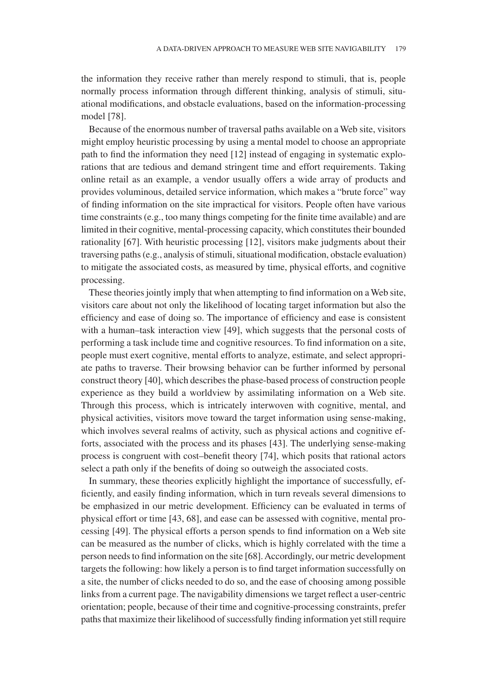the information they receive rather than merely respond to stimuli, that is, people normally process information through different thinking, analysis of stimuli, situational modifications, and obstacle evaluations, based on the information-processing model [78].

Because of the enormous number of traversal paths available on a Web site, visitors might employ heuristic processing by using a mental model to choose an appropriate path to find the information they need [12] instead of engaging in systematic explorations that are tedious and demand stringent time and effort requirements. Taking online retail as an example, a vendor usually offers a wide array of products and provides voluminous, detailed service information, which makes a "brute force" way of finding information on the site impractical for visitors. People often have various time constraints (e.g., too many things competing for the finite time available) and are limited in their cognitive, mental-processing capacity, which constitutes their bounded rationality [67]. With heuristic processing [12], visitors make judgments about their traversing paths (e.g., analysis of stimuli, situational modification, obstacle evaluation) to mitigate the associated costs, as measured by time, physical efforts, and cognitive processing.

These theories jointly imply that when attempting to find information on a Web site, visitors care about not only the likelihood of locating target information but also the efficiency and ease of doing so. The importance of efficiency and ease is consistent with a human–task interaction view [49], which suggests that the personal costs of performing a task include time and cognitive resources. To find information on a site, people must exert cognitive, mental efforts to analyze, estimate, and select appropriate paths to traverse. Their browsing behavior can be further informed by personal construct theory [40], which describes the phase-based process of construction people experience as they build a worldview by assimilating information on a Web site. Through this process, which is intricately interwoven with cognitive, mental, and physical activities, visitors move toward the target information using sense-making, which involves several realms of activity, such as physical actions and cognitive efforts, associated with the process and its phases [43]. The underlying sense-making process is congruent with cost–benefit theory [74], which posits that rational actors select a path only if the benefits of doing so outweigh the associated costs.

In summary, these theories explicitly highlight the importance of successfully, efficiently, and easily finding information, which in turn reveals several dimensions to be emphasized in our metric development. Efficiency can be evaluated in terms of physical effort or time [43, 68], and ease can be assessed with cognitive, mental processing [49]. The physical efforts a person spends to find information on a Web site can be measured as the number of clicks, which is highly correlated with the time a person needs to find information on the site [68]. Accordingly, our metric development targets the following: how likely a person is to find target information successfully on a site, the number of clicks needed to do so, and the ease of choosing among possible links from a current page. The navigability dimensions we target reflect a user-centric orientation; people, because of their time and cognitive-processing constraints, prefer paths that maximize their likelihood of successfully finding information yet still require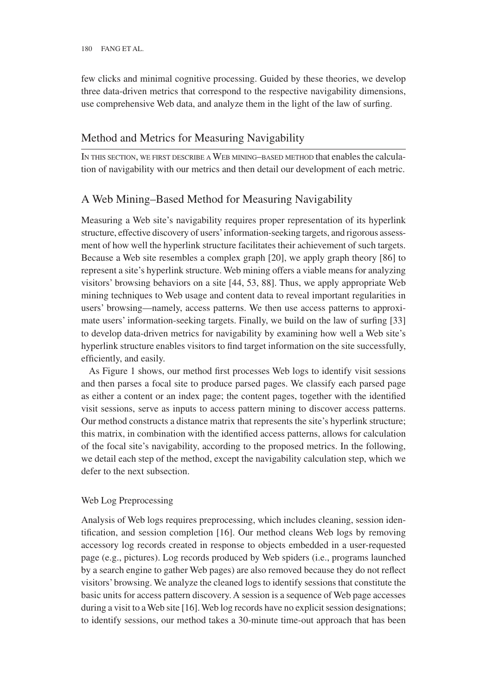few clicks and minimal cognitive processing. Guided by these theories, we develop three data-driven metrics that correspond to the respective navigability dimensions, use comprehensive Web data, and analyze them in the light of the law of surfing.

## Method and Metrics for Measuring Navigability

In this section, we first describe aWeb mining–based method that enables the calculation of navigability with our metrics and then detail our development of each metric.

## A Web Mining–Based Method for Measuring Navigability

Measuring a Web site's navigability requires proper representation of its hyperlink structure, effective discovery of users' information-seeking targets, and rigorous assessment of how well the hyperlink structure facilitates their achievement of such targets. Because a Web site resembles a complex graph [20], we apply graph theory [86] to represent a site's hyperlink structure. Web mining offers a viable means for analyzing visitors' browsing behaviors on a site [44, 53, 88]. Thus, we apply appropriate Web mining techniques to Web usage and content data to reveal important regularities in users' browsing—namely, access patterns. We then use access patterns to approximate users' information-seeking targets. Finally, we build on the law of surfing [33] to develop data-driven metrics for navigability by examining how well a Web site's hyperlink structure enables visitors to find target information on the site successfully, efficiently, and easily.

As Figure 1 shows, our method first processes Web logs to identify visit sessions and then parses a focal site to produce parsed pages. We classify each parsed page as either a content or an index page; the content pages, together with the identified visit sessions, serve as inputs to access pattern mining to discover access patterns. Our method constructs a distance matrix that represents the site's hyperlink structure; this matrix, in combination with the identified access patterns, allows for calculation of the focal site's navigability, according to the proposed metrics. In the following, we detail each step of the method, except the navigability calculation step, which we defer to the next subsection.

## Web Log Preprocessing

Analysis of Web logs requires preprocessing, which includes cleaning, session identification, and session completion [16]. Our method cleans Web logs by removing accessory log records created in response to objects embedded in a user-requested page (e.g., pictures). Log records produced by Web spiders (i.e., programs launched by a search engine to gather Web pages) are also removed because they do not reflect visitors' browsing. We analyze the cleaned logs to identify sessions that constitute the basic units for access pattern discovery. A session is a sequence of Web page accesses during a visit to a Web site [16]. Web log records have no explicit session designations; to identify sessions, our method takes a 30-minute time-out approach that has been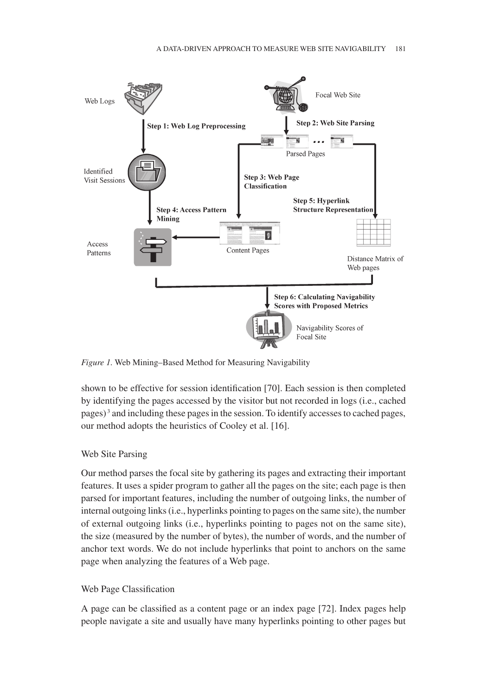

*Figure 1.* Web Mining–Based Method for Measuring Navigability

shown to be effective for session identification [70]. Each session is then completed by identifying the pages accessed by the visitor but not recorded in logs (i.e., cached pages) 3 and including these pages in the session. To identify accesses to cached pages, our method adopts the heuristics of Cooley et al. [16].

#### Web Site Parsing

Our method parses the focal site by gathering its pages and extracting their important features. It uses a spider program to gather all the pages on the site; each page is then parsed for important features, including the number of outgoing links, the number of internal outgoing links (i.e., hyperlinks pointing to pages on the same site), the number of external outgoing links (i.e., hyperlinks pointing to pages not on the same site), the size (measured by the number of bytes), the number of words, and the number of anchor text words. We do not include hyperlinks that point to anchors on the same page when analyzing the features of a Web page.

#### Web Page Classification

A page can be classified as a content page or an index page [72]. Index pages help people navigate a site and usually have many hyperlinks pointing to other pages but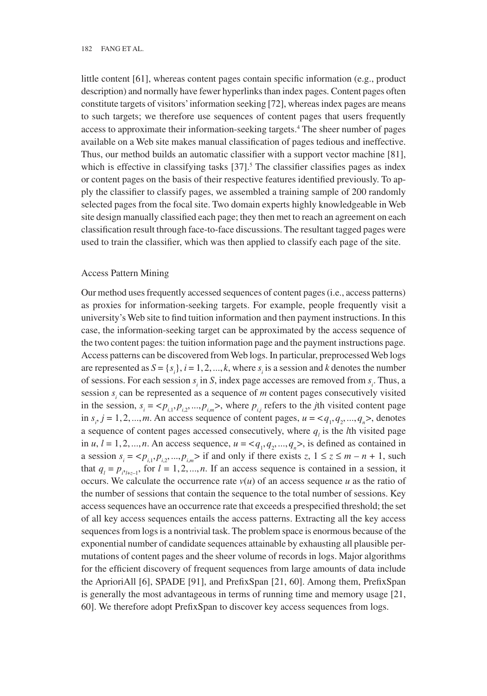#### 182 FANG ET AL.

little content [61], whereas content pages contain specific information (e.g., product description) and normally have fewer hyperlinks than index pages. Content pages often constitute targets of visitors' information seeking [72], whereas index pages are means to such targets; we therefore use sequences of content pages that users frequently access to approximate their information-seeking targets.<sup>4</sup> The sheer number of pages available on a Web site makes manual classification of pages tedious and ineffective. Thus, our method builds an automatic classifier with a support vector machine [81], which is effective in classifying tasks  $[37]$ .<sup>5</sup> The classifier classifies pages as index or content pages on the basis of their respective features identified previously. To apply the classifier to classify pages, we assembled a training sample of 200 randomly selected pages from the focal site. Two domain experts highly knowledgeable in Web site design manually classified each page; they then met to reach an agreement on each classification result through face-to-face discussions. The resultant tagged pages were used to train the classifier, which was then applied to classify each page of the site.

#### Access Pattern Mining

Our method uses frequently accessed sequences of content pages (i.e., access patterns) as proxies for information-seeking targets. For example, people frequently visit a university's Web site to find tuition information and then payment instructions. In this case, the information-seeking target can be approximated by the access sequence of the two content pages: the tuition information page and the payment instructions page. Access patterns can be discovered from Web logs. In particular, preprocessed Web logs are represented as  $S = \{s_i\}, i = 1, 2, ..., k$ , where  $s_i$  is a session and *k* denotes the number of sessions. For each session *s<sub>i</sub>* in *S*, index page accesses are removed from *s<sub>i</sub>*. Thus, a session  $s_i$  can be represented as a sequence of  $m$  content pages consecutively visited in the session,  $s_i = \langle p_{i,1}, p_{i,2}, ..., p_{i,m} \rangle$ , where  $p_{i,j}$  refers to the *j*th visited content page in  $s_i$ ,  $j = 1, 2, \ldots, m$ . An access sequence of content pages,  $u = \langle q_1, q_2, \ldots, q_n \rangle$ , denotes a sequence of content pages accessed consecutively, where  $q_i$  is the *l*th visited page in *u*,  $l = 1, 2, \ldots, n$ . An access sequence,  $u = \langle q_1, q_2, \ldots, q_n \rangle$ , is defined as contained in a session  $s_i = \langle p_{i,1}, p_{i,2}, ..., p_{i,m} \rangle$  if and only if there exists  $z, 1 \le z \le m - n + 1$ , such that  $q_l = p_{l^2 l + z - 1}$ , for  $l = 1, 2, ..., n$ . If an access sequence is contained in a session, it occurs. We calculate the occurrence rate  $v(u)$  of an access sequence *u* as the ratio of the number of sessions that contain the sequence to the total number of sessions. Key access sequences have an occurrence rate that exceeds a prespecified threshold; the set of all key access sequences entails the access patterns. Extracting all the key access sequences from logs is a nontrivial task. The problem space is enormous because of the exponential number of candidate sequences attainable by exhausting all plausible permutations of content pages and the sheer volume of records in logs. Major algorithms for the efficient discovery of frequent sequences from large amounts of data include the AprioriAll [6], SPADE [91], and PrefixSpan [21, 60]. Among them, PrefixSpan is generally the most advantageous in terms of running time and memory usage [21, 60]. We therefore adopt PrefixSpan to discover key access sequences from logs.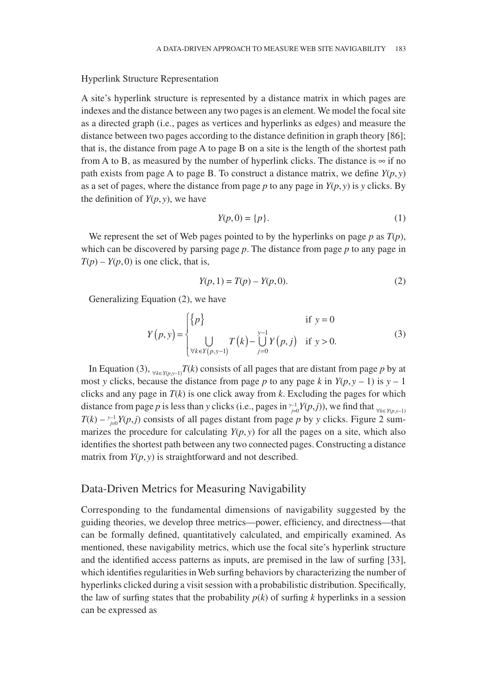#### Hyperlink Structure Representation

A site's hyperlink structure is represented by a distance matrix in which pages are indexes and the distance between any two pages is an element. We model the focal site as a directed graph (i.e., pages as vertices and hyperlinks as edges) and measure the distance between two pages according to the distance definition in graph theory [86]; that is, the distance from page A to page B on a site is the length of the shortest path from A to B, as measured by the number of hyperlink clicks. The distance is  $\infty$  if no path exists from page A to page B. To construct a distance matrix, we define  $Y(p, y)$ as a set of pages, where the distance from page  $p$  to any page in  $Y(p, y)$  is  $y$  clicks. By the definition of  $Y(p, y)$ , we have

$$
Y(p,0) = \{p\}.\tag{1}
$$

We represent the set of Web pages pointed to by the hyperlinks on page  $p$  as  $T(p)$ , which can be discovered by parsing page *p*. The distance from page *p* to any page in  $T(p) - Y(p, 0)$  is one click, that is,

$$
Y(p, 1) = T(p) - Y(p, 0).
$$
 (2)

Generalizing Equation (2), we have

$$
Y(p, y) = \begin{cases} \{p\} & \text{if } y = 0\\ \bigcup_{\forall k \in Y(p, y-1)} T(k) - \bigcup_{j=0}^{y-1} Y(p, j) & \text{if } y > 0. \end{cases}
$$
(3)

In Equation (3),  $\forall k \in Y(p, y-1)$ *T*(*k*) consists of all pages that are distant from page *p* by at most *y* clicks, because the distance from page *p* to any page *k* in  $Y(p, y - 1)$  is  $y - 1$ clicks and any page in  $T(k)$  is one click away from  $k$ . Excluding the pages for which distance from page *p* is less than *y* clicks (i.e., pages in  $\frac{y-1}{j=0}Y(p,j)$ ), we find that  $\forall x \in Y(p,y-1)$  $T(k) - y_{j=0}^{j-1} Y(p, j)$  consists of all pages distant from page *p* by *y* clicks. Figure 2 summarizes the procedure for calculating  $Y(p, y)$  for all the pages on a site, which also identifies the shortest path between any two connected pages. Constructing a distance matrix from  $Y(p, y)$  is straightforward and not described.

## Data-Driven Metrics for Measuring Navigability

Corresponding to the fundamental dimensions of navigability suggested by the guiding theories, we develop three metrics—power, efficiency, and directness—that can be formally defined, quantitatively calculated, and empirically examined. As mentioned, these navigability metrics, which use the focal site's hyperlink structure and the identified access patterns as inputs, are premised in the law of surfing [33], which identifies regularities in Web surfing behaviors by characterizing the number of hyperlinks clicked during a visit session with a probabilistic distribution. Specifically, the law of surfing states that the probability  $p(k)$  of surfing k hyperlinks in a session can be expressed as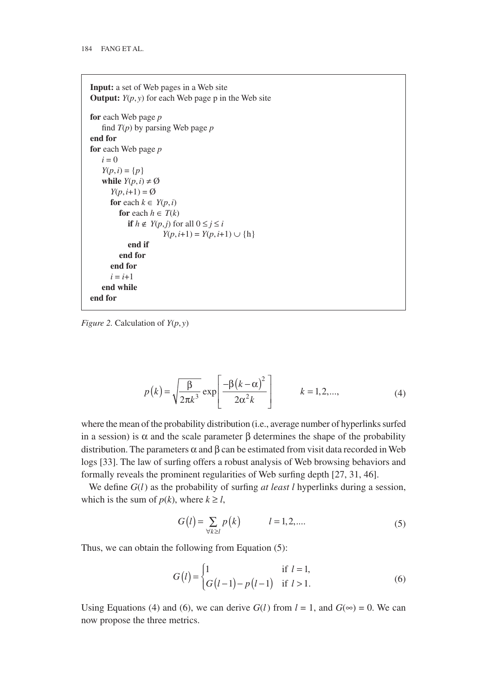**Input:** a set of Web pages in a Web site **Output:**  $Y(p, y)$  for each Web page p in the Web site **for** each Web page *p* find *T*(*p*) by parsing Web page *p* **end for for** each Web page *p*  $i = 0$  $Y(p, i) = \{p\}$ **while**  $Y(p, i) \neq \emptyset$  $Y(p, i+1) = \emptyset$ **for** each  $k \in Y(p, i)$ **for** each  $h \in T(k)$ **if**  $h \notin Y(p, j)$  for all  $0 \leq j \leq i$ *Y*(*p*,*i*+1) = *Y*(*p*,*i*+1) ∪ {h} **end if end for end for**  $i = i + 1$ **end while end for**

*Figure 2.* Calculation of *Y*(*p*, *y*)

$$
p(k) = \sqrt{\frac{\beta}{2\pi k^3}} \exp\left[\frac{-\beta(k-\alpha)^2}{2\alpha^2 k}\right] \qquad k = 1, 2, \dots,
$$
 (4)

where the mean of the probability distribution (i.e., average number of hyperlinks surfed in a session) is  $\alpha$  and the scale parameter  $\beta$  determines the shape of the probability distribution. The parameters  $\alpha$  and  $\beta$  can be estimated from visit data recorded in Web logs [33]. The law of surfing offers a robust analysis of Web browsing behaviors and formally reveals the prominent regularities of Web surfing depth [27, 31, 46].

We define *G*(*l*) as the probability of surfing *at least l* hyperlinks during a session, which is the sum of  $p(k)$ , where  $k \geq l$ ,

$$
G(l) = \sum_{\forall k \ge l} p(k) \qquad l = 1, 2, \dots \tag{5}
$$

Thus, we can obtain the following from Equation (5):

$$
G(l) = \begin{cases} 1 & \text{if } l = 1, \\ G(l-1) - p(l-1) & \text{if } l > 1. \end{cases}
$$
 (6)

Using Equations (4) and (6), we can derive  $G(l)$  from  $l = 1$ , and  $G(\infty) = 0$ . We can now propose the three metrics.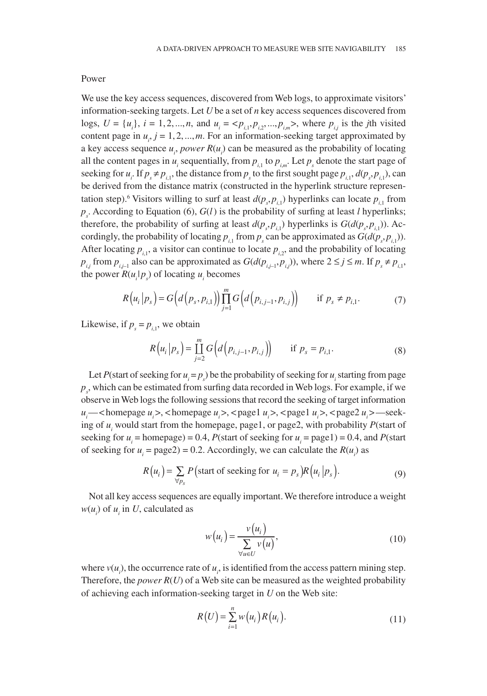Power

We use the key access sequences, discovered from Web logs, to approximate visitors' information-seeking targets. Let *U* be a set of *n* key access sequences discovered from logs,  $U = \{u_i\}$ ,  $i = 1, 2, ..., n$ , and  $u_i = \langle p_{i,1}, p_{i,2}, ..., p_{i,m} \rangle$ , where  $p_{i,j}$  is the *j*th visited content page in  $u_i$ ,  $j = 1, 2, ..., m$ . For an information-seeking target approximated by a key access sequence  $u_i$ , *power*  $R(u_i)$  can be measured as the probability of locating all the content pages in  $u_i$  sequentially, from  $p_{i,1}$  to  $p_{i,m}$ . Let  $p_s$  denote the start page of seeking for  $u_i$ . If  $p_s \neq p_{i,1}$ , the distance from  $p_s$  to the first sought page  $p_{i,1}$ ,  $d(p_s, p_{i,1})$ , can be derived from the distance matrix (constructed in the hyperlink structure representation step).<sup>6</sup> Visitors willing to surf at least  $d(p_s, p_{i,1})$  hyperlinks can locate  $p_{i,1}$  from  $p_s$ . According to Equation (6),  $G(l)$  is the probability of surfing at least *l* hyperlinks; therefore, the probability of surfing at least  $d(p_s, p_{i,1})$  hyperlinks is  $G(d(p_s, p_{i,1}))$ . Accordingly, the probability of locating  $p_{i,1}$  from  $p_s$  can be approximated as  $G(d(p_s, p_{i,1}))$ . After locating  $p_{i,1}$ , a visitor can continue to locate  $p_{i,2}$ , and the probability of locating  $p_{ij}$  from  $p_{ij-1}$  also can be approximated as  $G(d(p_{ij-1}, p_{ij}))$ , where  $2 \le j \le m$ . If  $p_s \ne p_{i,1}$ , the power  $R(u_i|p_s)$  of locating  $u_i$  becomes

$$
R(u_i | p_s) = G(d(p_s, p_{i,1})) \prod_{j=1}^{m} G(d(p_{i,j-1}, p_{i,j})) \quad \text{if } p_s \neq p_{i,1}.
$$
 (7)

Likewise, if  $p_s = p_{i,1}$ , we obtain

$$
R(u_i | p_s) = \prod_{j=2}^{m} G\Big(d\Big(p_{i,j-1}, p_{i,j}\Big)\Big) \quad \text{if } p_s = p_{i,1}.
$$
 (8)

Let *P*(start of seeking for  $u_i = p_s$ ) be the probability of seeking for  $u_i$  starting from page  $p<sub>s</sub>$ , which can be estimated from surfing data recorded in Web logs. For example, if we observe in Web logs the following sessions that record the seeking of target information *u*<sub>i</sub>—<homepage *u*<sub>i</sub>>, <homepage *u*<sub>i</sub>>, <page1 *u*<sub>i</sub>>, <page1 *u*<sub>i</sub>>, <page2 *u*<sub>i</sub>>—seeking of  $u_i$  would start from the homepage, page1, or page2, with probability *P*(start of seeking for  $u_i$  = homepage) = 0.4, *P*(start of seeking for  $u_i$  = page1) = 0.4, and *P*(start of seeking for  $u_i = \text{page2} = 0.2$ . Accordingly, we can calculate the  $R(u_i)$  as

$$
R(u_i) = \sum_{\forall p_s} P\left(\text{start of seeking for } u_i = p_s\right) R\left(u_i \middle| p_s\right). \tag{9}
$$

Not all key access sequences are equally important. We therefore introduce a weight  $w(u_i)$  of  $u_i$  in *U*, calculated as

$$
w(u_i) = \frac{v(u_i)}{\sum_{\forall u \in U} v(u)},
$$
\n(10)

where  $v(u_i)$ , the occurrence rate of  $u_i$ , is identified from the access pattern mining step. Therefore, the *power R(U)* of a Web site can be measured as the weighted probability of achieving each information-seeking target in *U* on the Web site:

$$
R(U) = \sum_{i=1}^{n} w(u_i) R(u_i).
$$
 (11)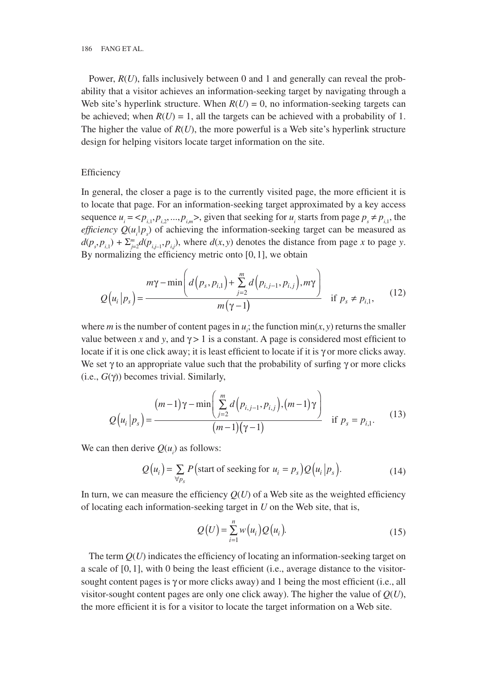Power, *R*(*U*), falls inclusively between 0 and 1 and generally can reveal the probability that a visitor achieves an information-seeking target by navigating through a Web site's hyperlink structure. When  $R(U) = 0$ , no information-seeking targets can be achieved; when  $R(U) = 1$ , all the targets can be achieved with a probability of 1. The higher the value of  $R(U)$ , the more powerful is a Web site's hyperlink structure design for helping visitors locate target information on the site.

#### **Efficiency**

In general, the closer a page is to the currently visited page, the more efficient it is to locate that page. For an information-seeking target approximated by a key access sequence  $u_i = \langle p_{i,1}, p_{i,2}, ..., p_{i,m} \rangle$ , given that seeking for  $u_i$  starts from page  $p_s \neq p_{i,1}$ , the *efficiency*  $Q(u_i|p_s)$  of achieving the information-seeking target can be measured as  $d(p_s, p_{i,1}) + \sum_{j=2}^m d(p_{i,j-1}, p_{i,j})$ , where  $d(x, y)$  denotes the distance from page *x* to page *y*. By normalizing the efficiency metric onto [0,1], we obtain

$$
Q(u_i|p_s) = \frac{m\gamma - \min\left(d\left(p_s, p_{i,1}\right) + \sum_{j=2}^{m} d\left(p_{i,j-1}, p_{i,j}\right), m\gamma\right)}{m(\gamma - 1)} \quad \text{if } p_s \neq p_{i,1},\tag{12}
$$

where *m* is the number of content pages in  $u_i$ ; the function min(*x*, *y*) returns the smaller value between x and  $y$ , and  $\gamma > 1$  is a constant. A page is considered most efficient to locate if it is one click away; it is least efficient to locate if it is γ or more clicks away. We set  $\gamma$  to an appropriate value such that the probability of surfing  $\gamma$  or more clicks (i.e.,  $G(\gamma)$ ) becomes trivial. Similarly,

$$
Q(u_i|p_s) = \frac{(m-1)\gamma - \min\left(\sum_{j=2}^m d\left(p_{i,j-1}, p_{i,j}\right), (m-1)\gamma\right)}{(m-1)(\gamma - 1)} \quad \text{if } p_s = p_{i,1}.\tag{13}
$$

We can then derive  $Q(u_i)$  as follows:

$$
Q(u_i) = \sum_{\forall p_s} P\left(\text{start of seeking for } u_i = p_s\right) Q\left(u_i \, | p_s\right). \tag{14}
$$

In turn, we can measure the efficiency  $Q(U)$  of a Web site as the weighted efficiency of locating each information-seeking target in *U* on the Web site, that is,

$$
Q(U) = \sum_{i=1}^{n} w(u_i) Q(u_i).
$$
 (15)

The term  $Q(U)$  indicates the efficiency of locating an information-seeking target on a scale of [0, 1], with 0 being the least efficient (i.e., average distance to the visitorsought content pages is  $\gamma$  or more clicks away) and 1 being the most efficient (i.e., all visitor-sought content pages are only one click away). The higher the value of  $O(U)$ , the more efficient it is for a visitor to locate the target information on a Web site.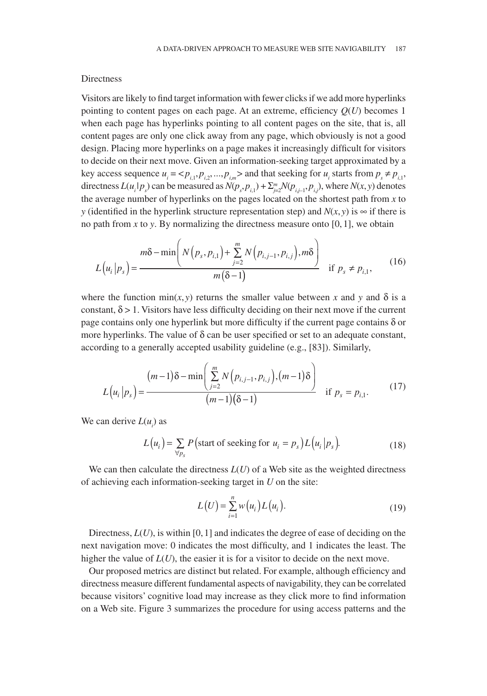#### **Directness**

Visitors are likely to find target information with fewer clicks if we add more hyperlinks pointing to content pages on each page. At an extreme, efficiency  $O(U)$  becomes 1 when each page has hyperlinks pointing to all content pages on the site, that is, all content pages are only one click away from any page, which obviously is not a good design. Placing more hyperlinks on a page makes it increasingly difficult for visitors to decide on their next move. Given an information-seeking target approximated by a key access sequence  $u_i = \langle p_{i,1}, p_{i,2}, ..., p_{i,m} \rangle$  and that seeking for  $u_i$  starts from  $p_s \neq p_{i,1}$ , directness  $L(u_i|p_s)$  can be measured as  $N(p_s, p_{i,1}) + \sum_{j=2}^{m} N(p_{i,j-1}, p_{i,j})$ , where  $N(x, y)$  denotes the average number of hyperlinks on the pages located on the shortest path from *x* to *y* (identified in the hyperlink structure representation step) and  $N(x, y)$  is  $\infty$  if there is no path from  $x$  to  $y$ . By normalizing the directness measure onto  $[0,1]$ , we obtain

$$
L(u_i | p_s) = \frac{m\delta - \min\left(N(p_s, p_{i,1}) + \sum_{j=2}^{m} N(p_{i,j-1}, p_{i,j}), m\delta\right)}{m(\delta - 1)} \quad \text{if } p_s \neq p_{i,1},\tag{16}
$$

where the function min(*x*, *y*) returns the smaller value between *x* and *y* and  $\delta$  is a constant,  $\delta$  > 1. Visitors have less difficulty deciding on their next move if the current page contains only one hyperlink but more difficulty if the current page contains  $\delta$  or more hyperlinks. The value of  $\delta$  can be user specified or set to an adequate constant, according to a generally accepted usability guideline (e.g., [83]). Similarly,

$$
L(u_i|p_s) = \frac{(m-1)\delta - \min\left(\sum_{j=2}^m N(p_{i,j-1}, p_{i,j}), (m-1)\delta\right)}{(m-1)(\delta - 1)} \quad \text{if } p_s = p_{i,1}.\tag{17}
$$

We can derive  $L(u_i)$  as

$$
L(u_i) = \sum_{\forall p_s} P\left(\text{start of seeking for } u_i = p_s\right) L\left(u_i \, \middle| \, p_s\right). \tag{18}
$$

We can then calculate the directness  $L(U)$  of a Web site as the weighted directness of achieving each information-seeking target in *U* on the site:

$$
L(U) = \sum_{i=1}^{n} w(u_i) L(u_i).
$$
 (19)

Directness,  $L(U)$ , is within [0, 1] and indicates the degree of ease of deciding on the next navigation move: 0 indicates the most difficulty, and 1 indicates the least. The higher the value of  $L(U)$ , the easier it is for a visitor to decide on the next move.

Our proposed metrics are distinct but related. For example, although efficiency and directness measure different fundamental aspects of navigability, they can be correlated because visitors' cognitive load may increase as they click more to find information on a Web site. Figure 3 summarizes the procedure for using access patterns and the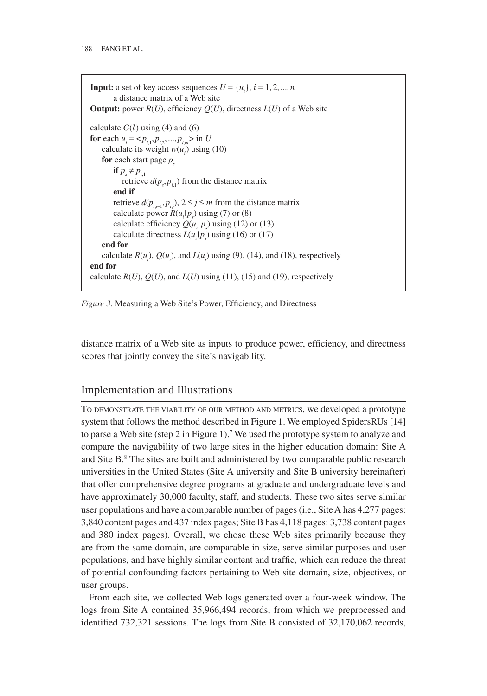```
Input: a set of key access sequences U = \{u_i\}, i = 1, 2, ..., n a distance matrix of a Web site
Output: power R(U), efficiency Q(U), directness L(U) of a Web site
calculate G(l) using (4) and (6)
for each u_i = \langle p_{i,1}, p_{i,2}, ..., p_{i,m} \rangle in U
    calculate its weight w(u_i) using (10)
   for each start page p<sub>s</sub>if p_s \neq p_{i,1}retrieve d(p_s, p_{i,1}) from the distance matrix
        end if
retrieve d(p_{i,j-1}, p_{i,j}), 2 \le j \le m from the distance matrix
calculate power \hat{R}(u_i|p_s) using (7) or (8)
calculate efficiency Q(u_i|p_s) using (12) or (13)
calculate directness L(u_i|p_s) using (16) or (17)
   end for
    calculate R(u_i), Q(u_i), and L(u_i) using (9), (14), and (18), respectively
end for
calculate R(U), Q(U), and L(U) using (11), (15) and (19), respectively
```
*Figure 3.* Measuring a Web Site's Power, Efficiency, and Directness

distance matrix of a Web site as inputs to produce power, efficiency, and directness scores that jointly convey the site's navigability.

## Implementation and Illustrations

To demonstrate the viability of our method and metrics, we developed a prototype system that follows the method described in Figure 1. We employed SpidersRUs [14] to parse a Web site (step 2 in Figure 1).7 We used the prototype system to analyze and compare the navigability of two large sites in the higher education domain: Site A and Site B.<sup>8</sup> The sites are built and administered by two comparable public research universities in the United States (Site A university and Site B university hereinafter) that offer comprehensive degree programs at graduate and undergraduate levels and have approximately 30,000 faculty, staff, and students. These two sites serve similar user populations and have a comparable number of pages (i.e., Site A has 4,277 pages: 3,840 content pages and 437 index pages; Site B has 4,118 pages: 3,738 content pages and 380 index pages). Overall, we chose these Web sites primarily because they are from the same domain, are comparable in size, serve similar purposes and user populations, and have highly similar content and traffic, which can reduce the threat of potential confounding factors pertaining to Web site domain, size, objectives, or user groups.

From each site, we collected Web logs generated over a four-week window. The logs from Site A contained 35,966,494 records, from which we preprocessed and identified 732,321 sessions. The logs from Site B consisted of 32,170,062 records,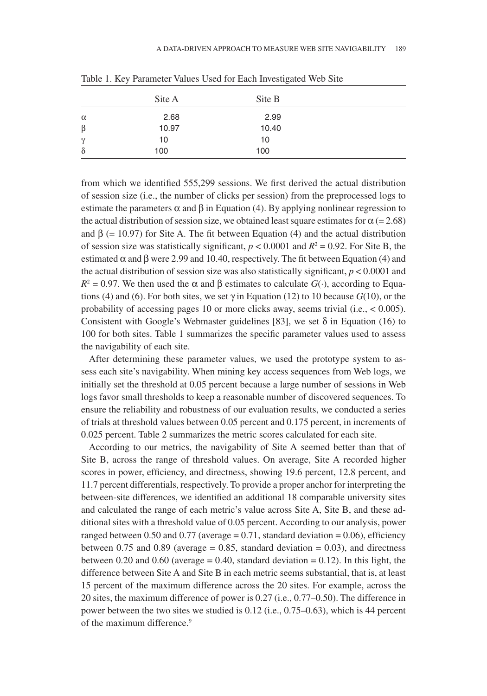|          | Site A | Site B |  |
|----------|--------|--------|--|
| $\alpha$ | 2.68   | 2.99   |  |
| β        | 10.97  | 10.40  |  |
| $\gamma$ | 10     | 10     |  |
| $\delta$ | 100    | 100    |  |

Table 1. Key Parameter Values Used for Each Investigated Web Site

from which we identified 555,299 sessions. We first derived the actual distribution of session size (i.e., the number of clicks per session) from the preprocessed logs to estimate the parameters  $\alpha$  and  $\beta$  in Equation (4). By applying nonlinear regression to the actual distribution of session size, we obtained least square estimates for  $\alpha$  (= 2.68) and  $\beta$  (= 10.97) for Site A. The fit between Equation (4) and the actual distribution of session size was statistically significant,  $p < 0.0001$  and  $R^2 = 0.92$ . For Site B, the estimated  $\alpha$  and  $\beta$  were 2.99 and 10.40, respectively. The fit between Equation (4) and the actual distribution of session size was also statistically significant,  $p < 0.0001$  and  $R^2 = 0.97$ . We then used the  $\alpha$  and  $\beta$  estimates to calculate  $G(\cdot)$ , according to Equations (4) and (6). For both sites, we set  $\gamma$  in Equation (12) to 10 because  $G(10)$ , or the probability of accessing pages 10 or more clicks away, seems trivial (i.e., < 0.005). Consistent with Google's Webmaster guidelines [83], we set  $\delta$  in Equation (16) to 100 for both sites. Table 1 summarizes the specific parameter values used to assess the navigability of each site.

After determining these parameter values, we used the prototype system to assess each site's navigability. When mining key access sequences from Web logs, we initially set the threshold at 0.05 percent because a large number of sessions in Web logs favor small thresholds to keep a reasonable number of discovered sequences. To ensure the reliability and robustness of our evaluation results, we conducted a series of trials at threshold values between 0.05 percent and 0.175 percent, in increments of 0.025 percent. Table 2 summarizes the metric scores calculated for each site.

According to our metrics, the navigability of Site A seemed better than that of Site B, across the range of threshold values. On average, Site A recorded higher scores in power, efficiency, and directness, showing 19.6 percent, 12.8 percent, and 11.7 percent differentials, respectively. To provide a proper anchor for interpreting the between-site differences, we identified an additional 18 comparable university sites and calculated the range of each metric's value across Site A, Site B, and these additional sites with a threshold value of 0.05 percent. According to our analysis, power ranged between 0.50 and 0.77 (average  $= 0.71$ , standard deviation  $= 0.06$ ), efficiency between 0.75 and 0.89 (average  $= 0.85$ , standard deviation  $= 0.03$ ), and directness between 0.20 and 0.60 (average  $= 0.40$ , standard deviation  $= 0.12$ ). In this light, the difference between Site A and Site B in each metric seems substantial, that is, at least 15 percent of the maximum difference across the 20 sites. For example, across the 20 sites, the maximum difference of power is 0.27 (i.e., 0.77–0.50). The difference in power between the two sites we studied is 0.12 (i.e., 0.75–0.63), which is 44 percent of the maximum difference.<sup>9</sup>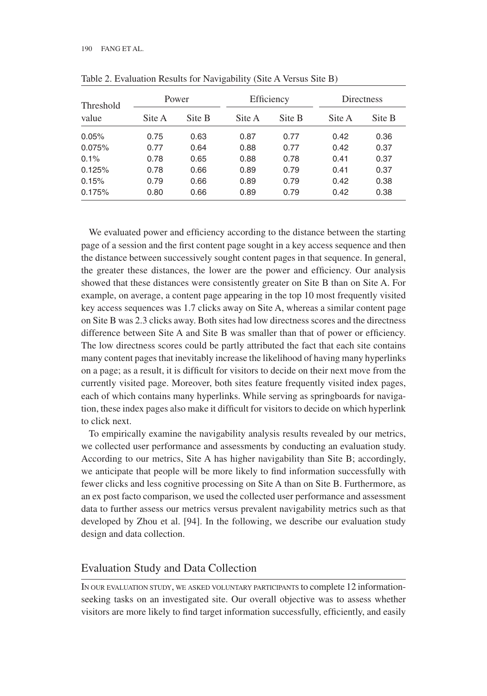| Threshold |        | Power  |        | Efficiency |        | Directness |
|-----------|--------|--------|--------|------------|--------|------------|
| value     | Site A | Site B | Site A | Site B     | Site A | Site B     |
| 0.05%     | 0.75   | 0.63   | 0.87   | 0.77       | 0.42   | 0.36       |
| 0.075%    | 0.77   | 0.64   | 0.88   | 0.77       | 0.42   | 0.37       |
| 0.1%      | 0.78   | 0.65   | 0.88   | 0.78       | 0.41   | 0.37       |
| 0.125%    | 0.78   | 0.66   | 0.89   | 0.79       | 0.41   | 0.37       |
| 0.15%     | 0.79   | 0.66   | 0.89   | 0.79       | 0.42   | 0.38       |
| 0.175%    | 0.80   | 0.66   | 0.89   | 0.79       | 0.42   | 0.38       |

Table 2. Evaluation Results for Navigability (Site A Versus Site B)

We evaluated power and efficiency according to the distance between the starting page of a session and the first content page sought in a key access sequence and then the distance between successively sought content pages in that sequence. In general, the greater these distances, the lower are the power and efficiency. Our analysis showed that these distances were consistently greater on Site B than on Site A. For example, on average, a content page appearing in the top 10 most frequently visited key access sequences was 1.7 clicks away on Site A, whereas a similar content page on Site B was 2.3 clicks away. Both sites had low directness scores and the directness difference between Site A and Site B was smaller than that of power or efficiency. The low directness scores could be partly attributed the fact that each site contains many content pages that inevitably increase the likelihood of having many hyperlinks on a page; as a result, it is difficult for visitors to decide on their next move from the currently visited page. Moreover, both sites feature frequently visited index pages, each of which contains many hyperlinks. While serving as springboards for navigation, these index pages also make it difficult for visitors to decide on which hyperlink to click next.

To empirically examine the navigability analysis results revealed by our metrics, we collected user performance and assessments by conducting an evaluation study. According to our metrics, Site A has higher navigability than Site B; accordingly, we anticipate that people will be more likely to find information successfully with fewer clicks and less cognitive processing on Site A than on Site B. Furthermore, as an ex post facto comparison, we used the collected user performance and assessment data to further assess our metrics versus prevalent navigability metrics such as that developed by Zhou et al. [94]. In the following, we describe our evaluation study design and data collection.

#### Evaluation Study and Data Collection

In our evaluation study, we asked voluntary participants to complete 12 informationseeking tasks on an investigated site. Our overall objective was to assess whether visitors are more likely to find target information successfully, efficiently, and easily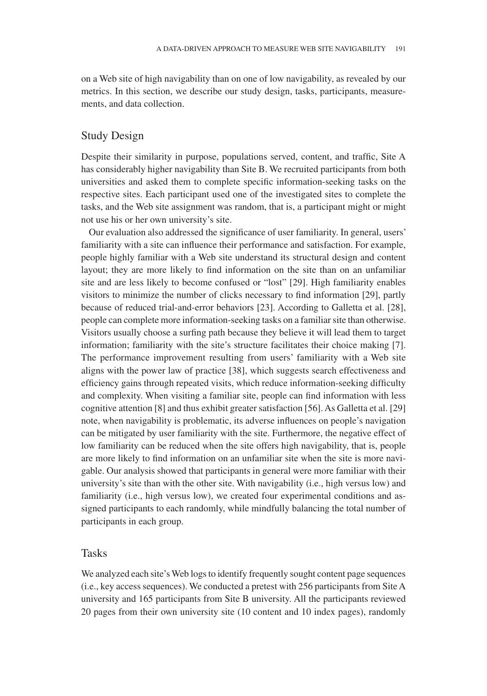on a Web site of high navigability than on one of low navigability, as revealed by our metrics. In this section, we describe our study design, tasks, participants, measurements, and data collection.

## Study Design

Despite their similarity in purpose, populations served, content, and traffic, Site A has considerably higher navigability than Site B. We recruited participants from both universities and asked them to complete specific information-seeking tasks on the respective sites. Each participant used one of the investigated sites to complete the tasks, and the Web site assignment was random, that is, a participant might or might not use his or her own university's site.

Our evaluation also addressed the significance of user familiarity. In general, users' familiarity with a site can influence their performance and satisfaction. For example, people highly familiar with a Web site understand its structural design and content layout; they are more likely to find information on the site than on an unfamiliar site and are less likely to become confused or "lost" [29]. High familiarity enables visitors to minimize the number of clicks necessary to find information [29], partly because of reduced trial-and-error behaviors [23]. According to Galletta et al. [28], people can complete more information-seeking tasks on a familiar site than otherwise. Visitors usually choose a surfing path because they believe it will lead them to target information; familiarity with the site's structure facilitates their choice making [7]. The performance improvement resulting from users' familiarity with a Web site aligns with the power law of practice [38], which suggests search effectiveness and efficiency gains through repeated visits, which reduce information-seeking difficulty and complexity. When visiting a familiar site, people can find information with less cognitive attention [8] and thus exhibit greater satisfaction [56]. As Galletta et al. [29] note, when navigability is problematic, its adverse influences on people's navigation can be mitigated by user familiarity with the site. Furthermore, the negative effect of low familiarity can be reduced when the site offers high navigability, that is, people are more likely to find information on an unfamiliar site when the site is more navigable. Our analysis showed that participants in general were more familiar with their university's site than with the other site. With navigability (i.e., high versus low) and familiarity (i.e., high versus low), we created four experimental conditions and assigned participants to each randomly, while mindfully balancing the total number of participants in each group.

## Tasks

We analyzed each site's Web logs to identify frequently sought content page sequences (i.e., key access sequences). We conducted a pretest with 256 participants from SiteA university and 165 participants from Site B university. All the participants reviewed 20 pages from their own university site (10 content and 10 index pages), randomly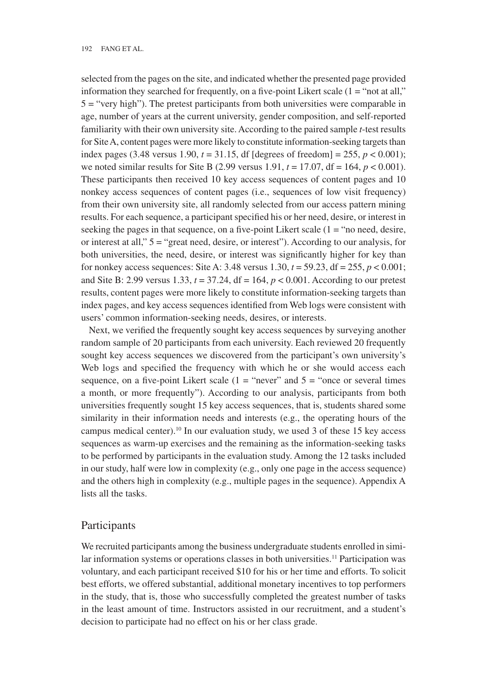selected from the pages on the site, and indicated whether the presented page provided information they searched for frequently, on a five-point Likert scale  $(1 = "not at all,"$ 5 = "very high"). The pretest participants from both universities were comparable in age, number of years at the current university, gender composition, and self-reported familiarity with their own university site. According to the paired sample *t*-test results for SiteA, content pages were more likely to constitute information-seeking targets than index pages (3.48 versus 1.90, *t* = 31.15, df [degrees of freedom] = 255, *p* < 0.001); we noted similar results for Site B (2.99 versus  $1.91$ ,  $t = 17.07$ , df = 164,  $p < 0.001$ ). These participants then received 10 key access sequences of content pages and 10 nonkey access sequences of content pages (i.e., sequences of low visit frequency) from their own university site, all randomly selected from our access pattern mining results. For each sequence, a participant specified his or her need, desire, or interest in seeking the pages in that sequence, on a five-point Likert scale  $(1 = "no need, desire,$ or interest at all," 5 = "great need, desire, or interest"). According to our analysis, for both universities, the need, desire, or interest was significantly higher for key than for nonkey access sequences: Site A: 3.48 versus 1.30, *t* = 59.23, df = 255, *p* < 0.001; and Site B: 2.99 versus 1.33,  $t = 37.24$ , df = 164,  $p < 0.001$ . According to our pretest results, content pages were more likely to constitute information-seeking targets than index pages, and key access sequences identified from Web logs were consistent with users' common information-seeking needs, desires, or interests.

Next, we verified the frequently sought key access sequences by surveying another random sample of 20 participants from each university. Each reviewed 20 frequently sought key access sequences we discovered from the participant's own university's Web logs and specified the frequency with which he or she would access each sequence, on a five-point Likert scale  $(1 = "never"$  and  $5 = "once or several times$ a month, or more frequently"). According to our analysis, participants from both universities frequently sought 15 key access sequences, that is, students shared some similarity in their information needs and interests (e.g., the operating hours of the campus medical center).10 In our evaluation study, we used 3 of these 15 key access sequences as warm-up exercises and the remaining as the information-seeking tasks to be performed by participants in the evaluation study. Among the 12 tasks included in our study, half were low in complexity (e.g., only one page in the access sequence) and the others high in complexity (e.g., multiple pages in the sequence). Appendix A lists all the tasks.

## Participants

We recruited participants among the business undergraduate students enrolled in similar information systems or operations classes in both universities.<sup>11</sup> Participation was voluntary, and each participant received \$10 for his or her time and efforts. To solicit best efforts, we offered substantial, additional monetary incentives to top performers in the study, that is, those who successfully completed the greatest number of tasks in the least amount of time. Instructors assisted in our recruitment, and a student's decision to participate had no effect on his or her class grade.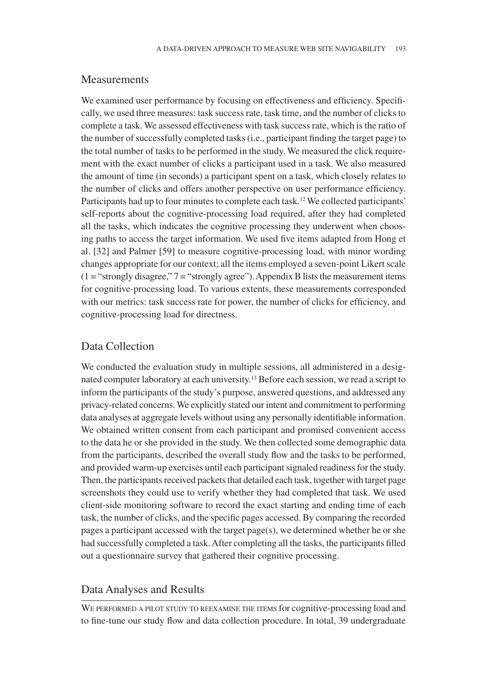## **Measurements**

We examined user performance by focusing on effectiveness and efficiency. Specifically, we used three measures: task success rate, task time, and the number of clicks to complete a task. We assessed effectiveness with task success rate, which is the ratio of the number of successfully completed tasks (i.e., participant finding the target page) to the total number of tasks to be performed in the study. We measured the click requirement with the exact number of clicks a participant used in a task. We also measured the amount of time (in seconds) a participant spent on a task, which closely relates to the number of clicks and offers another perspective on user performance efficiency. Participants had up to four minutes to complete each task.<sup>12</sup> We collected participants' self-reports about the cognitive-processing load required, after they had completed all the tasks, which indicates the cognitive processing they underwent when choosing paths to access the target information. We used five items adapted from Hong et al. [32] and Palmer [59] to measure cognitive-processing load, with minor wording changes appropriate for our context; all the items employed a seven-point Likert scale  $(1 = "strongly disagree," 7 = "strongly agree"). Appendix B lists the measurement items$ for cognitive-processing load. To various extents, these measurements corresponded with our metrics: task success rate for power, the number of clicks for efficiency, and cognitive-processing load for directness.

#### Data Collection

We conducted the evaluation study in multiple sessions, all administered in a designated computer laboratory at each university.13 Before each session, we read a script to inform the participants of the study's purpose, answered questions, and addressed any privacy-related concerns. We explicitly stated our intent and commitment to performing data analyses at aggregate levels without using any personally identifiable information. We obtained written consent from each participant and promised convenient access to the data he or she provided in the study. We then collected some demographic data from the participants, described the overall study flow and the tasks to be performed, and provided warm-up exercises until each participant signaled readiness for the study. Then, the participants received packets that detailed each task, together with target page screenshots they could use to verify whether they had completed that task. We used client-side monitoring software to record the exact starting and ending time of each task, the number of clicks, and the specific pages accessed. By comparing the recorded pages a participant accessed with the target page(s), we determined whether he or she had successfully completed a task. After completing all the tasks, the participants filled out a questionnaire survey that gathered their cognitive processing.

#### Data Analyses and Results

WE PERFORMED A PILOT STUDY TO REEXAMINE THE ITEMS for cognitive-processing load and to fine-tune our study flow and data collection procedure. In total, 39 undergraduate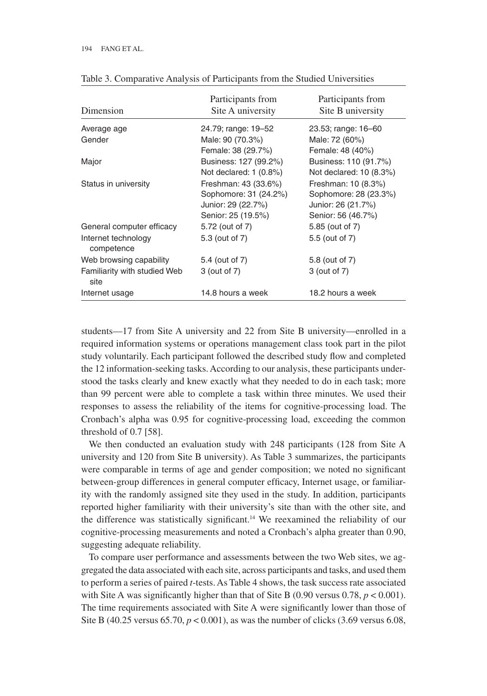| Dimension                            | Participants from<br>Site A university                                                    | Participants from<br>Site B university                                                   |
|--------------------------------------|-------------------------------------------------------------------------------------------|------------------------------------------------------------------------------------------|
| Average age                          | 24.79; range: 19–52                                                                       | 23.53; range: 16–60                                                                      |
| Gender                               | Male: 90 (70.3%)<br>Female: 38 (29.7%)                                                    | Male: 72 (60%)<br>Female: 48 (40%)                                                       |
| Major                                | Business: 127 (99.2%)<br>Not declared: 1 (0.8%)                                           | Business: 110 (91.7%)<br>Not declared: 10 (8.3%)                                         |
| Status in university                 | Freshman: 43 (33.6%)<br>Sophomore: 31 (24.2%)<br>Junior: 29 (22.7%)<br>Senior: 25 (19.5%) | Freshman: 10 (8.3%)<br>Sophomore: 28 (23.3%)<br>Junior: 26 (21.7%)<br>Senior: 56 (46.7%) |
| General computer efficacy            | 5.72 (out of 7)                                                                           | 5.85 (out of 7)                                                                          |
| Internet technology<br>competence    | 5.3 (out of 7)                                                                            | 5.5 (out of 7)                                                                           |
| Web browsing capability              | 5.4 (out of 7)                                                                            | 5.8 (out of 7)                                                                           |
| Familiarity with studied Web<br>site | 3 (out of 7)                                                                              | 3 (out of 7)                                                                             |
| Internet usage                       | 14.8 hours a week                                                                         | 18.2 hours a week                                                                        |

Table 3. Comparative Analysis of Participants from the Studied Universities

students—17 from Site A university and 22 from Site B university—enrolled in a required information systems or operations management class took part in the pilot study voluntarily. Each participant followed the described study flow and completed the 12 information-seeking tasks. According to our analysis, these participants understood the tasks clearly and knew exactly what they needed to do in each task; more than 99 percent were able to complete a task within three minutes. We used their responses to assess the reliability of the items for cognitive-processing load. The Cronbach's alpha was 0.95 for cognitive-processing load, exceeding the common threshold of 0.7 [58].

We then conducted an evaluation study with 248 participants (128 from Site A university and 120 from Site B university). As Table 3 summarizes, the participants were comparable in terms of age and gender composition; we noted no significant between-group differences in general computer efficacy, Internet usage, or familiarity with the randomly assigned site they used in the study. In addition, participants reported higher familiarity with their university's site than with the other site, and the difference was statistically significant.<sup>14</sup> We reexamined the reliability of our cognitive-processing measurements and noted a Cronbach's alpha greater than 0.90, suggesting adequate reliability.

To compare user performance and assessments between the two Web sites, we aggregated the data associated with each site, across participants and tasks, and used them to perform a series of paired *t*-tests. As Table 4 shows, the task success rate associated with Site A was significantly higher than that of Site B  $(0.90$  versus  $0.78$ ,  $p < 0.001$ ). The time requirements associated with Site A were significantly lower than those of Site B (40.25 versus 65.70,  $p < 0.001$ ), as was the number of clicks (3.69 versus 6.08,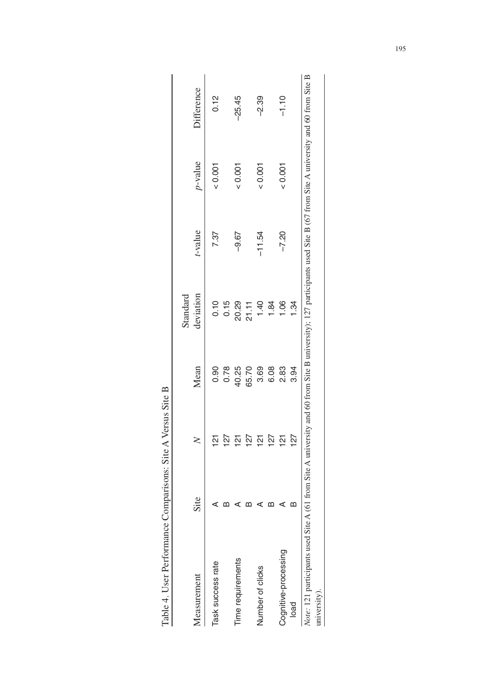|                                                    |      |            |       | Standard                                                                                                                             |          |            |            |
|----------------------------------------------------|------|------------|-------|--------------------------------------------------------------------------------------------------------------------------------------|----------|------------|------------|
| Measurement                                        | Site | $\geq$     | Mean  | deviation                                                                                                                            | t-value  | $p$ -value | Difference |
| Task success rate                                  | ⋖    | <u>선</u>   | 0.90  | 0.10                                                                                                                                 | 7.37     | 0.001      | 0.12       |
|                                                    | ∞    | 127        | 0.78  | 0.15                                                                                                                                 |          |            |            |
| Time requirements                                  | ⋖    | <u>ist</u> | 40.25 | 20.29                                                                                                                                | $-9.67$  | 0.001      | $-25.45$   |
|                                                    | ∞    | 127        | 65.70 | 21.11                                                                                                                                |          |            |            |
| Number of clicks                                   | ⋖    | <u>선</u>   | 3.69  | 1.40                                                                                                                                 | $-11.54$ | 0.007      | $-2.39$    |
|                                                    | ∞    | 127        | 6.08  | 1.84                                                                                                                                 |          |            |            |
| Cognitive-processing                               | ⋖    | <u> 집</u>  | 2.83  | 1.06                                                                                                                                 | $-7.20$  | 0.001      | $-1.10$    |
| load                                               | മ    | 127        | 3.94  | 1.34                                                                                                                                 |          |            |            |
| Note: 121 participants used Site A<br>university). |      |            |       | 61 from Site A university and 60 from Site B university); 127 participants used Site B (67 from Site A university and 60 from Site B |          |            |            |
|                                                    |      |            |       |                                                                                                                                      |          |            |            |

| $\frac{1}{2}$<br>Ì                                                        |
|---------------------------------------------------------------------------|
|                                                                           |
|                                                                           |
| ֧֦֧֦֧֧֧֧֧֧֦֧֧֧֧֧֧֧֧֚֚֚֚֚֚֚֚֚֚֚֚֚֚֚֝֝֝֬֝֝֝֝֬֝֓֝֬֝֬֝֬֝֓֝֬֝֬֝֬֝֬֝֬֝֬֜֝֬<br>i |
| Channel China<br>ı<br>ζ                                                   |
| こくさき しょうきょう<br>)<br>]<br>ij                                               |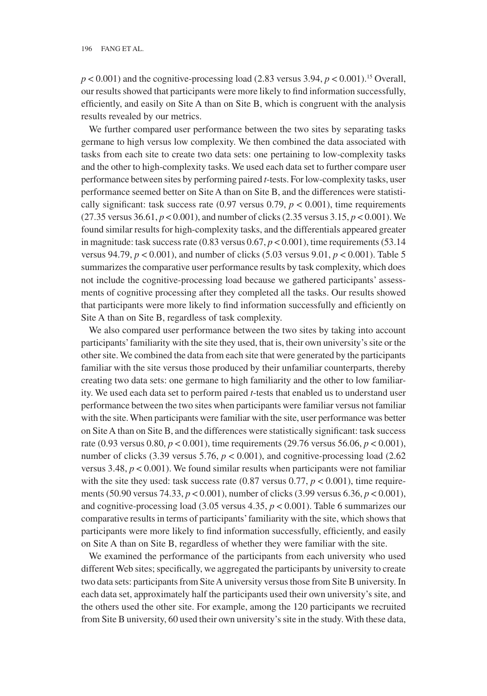$p < 0.001$ ) and the cognitive-processing load (2.83 versus 3.94,  $p < 0.001$ ).<sup>15</sup> Overall, our results showed that participants were more likely to find information successfully, efficiently, and easily on Site A than on Site B, which is congruent with the analysis results revealed by our metrics.

We further compared user performance between the two sites by separating tasks germane to high versus low complexity. We then combined the data associated with tasks from each site to create two data sets: one pertaining to low-complexity tasks and the other to high-complexity tasks. We used each data set to further compare user performance between sites by performing paired *t*-tests. For low-complexity tasks, user performance seemed better on Site A than on Site B, and the differences were statistically significant: task success rate  $(0.97 \text{ versus } 0.79, p < 0.001)$ , time requirements (27.35 versus 36.61, *p* < 0.001), and number of clicks (2.35 versus 3.15, *p* < 0.001). We found similar results for high-complexity tasks, and the differentials appeared greater in magnitude: task success rate  $(0.83 \text{ versus } 0.67, p < 0.001)$ , time requirements  $(53.14$ versus 94.79, *p* < 0.001), and number of clicks (5.03 versus 9.01, *p* < 0.001). Table 5 summarizes the comparative user performance results by task complexity, which does not include the cognitive-processing load because we gathered participants' assessments of cognitive processing after they completed all the tasks. Our results showed that participants were more likely to find information successfully and efficiently on Site A than on Site B, regardless of task complexity.

We also compared user performance between the two sites by taking into account participants' familiarity with the site they used, that is, their own university's site or the other site. We combined the data from each site that were generated by the participants familiar with the site versus those produced by their unfamiliar counterparts, thereby creating two data sets: one germane to high familiarity and the other to low familiarity. We used each data set to perform paired *t*-tests that enabled us to understand user performance between the two sites when participants were familiar versus not familiar with the site. When participants were familiar with the site, user performance was better on SiteA than on Site B, and the differences were statistically significant: task success rate (0.93 versus 0.80, *p* < 0.001), time requirements (29.76 versus 56.06, *p* < 0.001), number of clicks  $(3.39 \text{ versus } 5.76, p < 0.001)$ , and cognitive-processing load  $(2.62 \text{ m})$ versus 3.48,  $p < 0.001$ ). We found similar results when participants were not familiar with the site they used: task success rate  $(0.87 \text{ versus } 0.77, p < 0.001)$ , time requirements (50.90 versus 74.33, *p* < 0.001), number of clicks (3.99 versus 6.36, *p* < 0.001), and cognitive-processing load (3.05 versus 4.35, *p* < 0.001). Table 6 summarizes our comparative results in terms of participants' familiarity with the site, which shows that participants were more likely to find information successfully, efficiently, and easily on Site A than on Site B, regardless of whether they were familiar with the site.

We examined the performance of the participants from each university who used different Web sites; specifically, we aggregated the participants by university to create two data sets: participants from Site A university versus those from Site B university. In each data set, approximately half the participants used their own university's site, and the others used the other site. For example, among the 120 participants we recruited from Site B university, 60 used their own university's site in the study. With these data,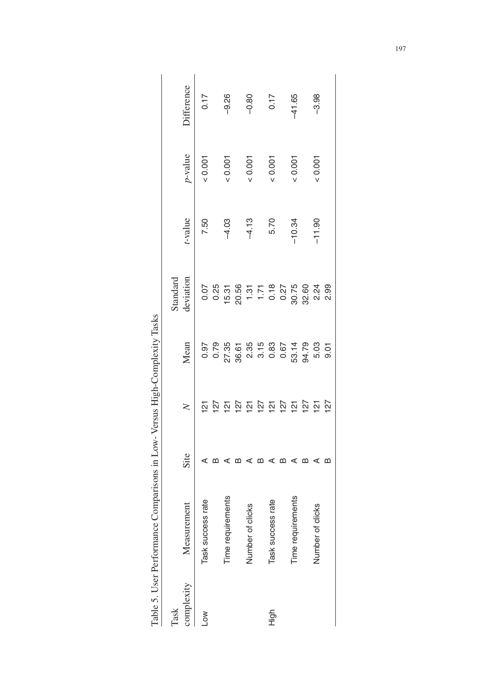| I                                 |  |
|-----------------------------------|--|
| I                                 |  |
| l<br>֚֡֕                          |  |
| $\frac{1}{2}$<br>I<br>J           |  |
| j<br>l<br>$\frac{1}{2}$<br>i<br>Ì |  |
| .<br>.<br>.                       |  |
| I                                 |  |
| ζ                                 |  |
| l<br>l                            |  |
| Ì                                 |  |
| I<br>í                            |  |

| Task       |                         |          |                |                                                             | tandaro                                                                                                                 |          |            |                   |
|------------|-------------------------|----------|----------------|-------------------------------------------------------------|-------------------------------------------------------------------------------------------------------------------------|----------|------------|-------------------|
| complexity | Measuremen              | Site     | $\geq$         | Mean                                                        | eviation                                                                                                                | t-value  | $p$ -value | <b>Hifference</b> |
| <b>NOT</b> | بهِ<br>Task success rat |          |                | 0.97                                                        | 0.07                                                                                                                    | 7.50     | $-0.00$    |                   |
|            |                         |          | 127            |                                                             |                                                                                                                         |          |            |                   |
|            | Time requirements       |          |                |                                                             |                                                                                                                         | $-4.03$  | 0.001      | $-9.26$           |
|            |                         |          | $\frac{7}{12}$ |                                                             |                                                                                                                         |          |            |                   |
|            | Number of clicks        |          | $\frac{1}{2}$  |                                                             |                                                                                                                         | $-4.13$  | 10001      | $-0.80$           |
|            |                         | $\bf{m}$ | $127$<br>$121$ |                                                             |                                                                                                                         |          |            |                   |
| High       | Task success rate       | ⋖        |                |                                                             |                                                                                                                         | 5.70     | 0.001      | 0.17              |
|            |                         | ≃        | 127            |                                                             |                                                                                                                         |          |            |                   |
|            | Time requirements       | ⋖        | $\frac{1}{2}$  |                                                             |                                                                                                                         | 10.34    | 0.001      | $-41.65$          |
|            |                         |          | 127            |                                                             |                                                                                                                         |          |            |                   |
|            | Number of clicks        |          | $\frac{1}{2}$  | 0<br>0 5 6 6 7 6 9 6 7 7 8 9 6<br>0 7 8 9 0 0 0 0 0 9 7 8 0 | 25<br>25 26 37 32 32 33 34<br>26 32 33 34 35 36 37 38 39 30 31 32 33 34 35 36 37 38 39 30 31 31 32 33 34 35 35 35 35 35 | $-11.90$ | 0.001      | $-3.98$           |
|            |                         | ≃        | 127            |                                                             |                                                                                                                         |          |            |                   |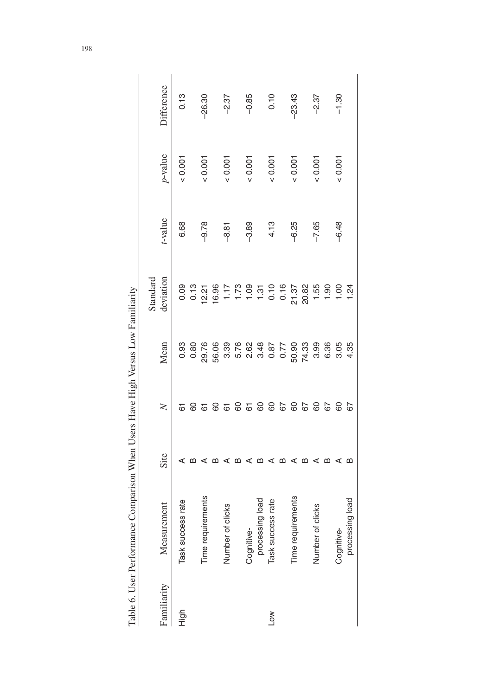|             |                   |            |                       |      | Standard  |                 |            |                 |  |
|-------------|-------------------|------------|-----------------------|------|-----------|-----------------|------------|-----------------|--|
| Familiarity | Measurement       | Site       | $\geq$                | Mean | deviation | t-value         | $p$ -value | Difference      |  |
| High        | Task success rate |            |                       |      |           | 6.68            | 0.001      | 0.13            |  |
|             |                   |            |                       |      |           |                 |            |                 |  |
|             | Time requirements | ≃ ھ        | $@3@6@6@6@6@6@6@6@6%$ |      |           | $-9.78$         | 0.001      | $-26.30$        |  |
|             |                   | മ          |                       |      |           |                 |            |                 |  |
|             | Number of clicks  | ⋖          |                       |      |           | $-8.8$          | 0.001      | $-2.37$         |  |
|             |                   | ≃          |                       |      |           |                 |            |                 |  |
|             | Cognitive-        | $\prec$    |                       |      |           |                 | 10000      |                 |  |
|             | processing loa    |            |                       |      |           |                 |            |                 |  |
| NOT         | Task success rate | $m \leq m$ |                       |      |           | $-3.89$<br>4.13 | 10000      | $-0.85$<br>0.10 |  |
|             |                   |            |                       |      |           |                 |            |                 |  |
|             | Time requirements | $\prec$    |                       |      |           | $-6.25$         | 0.001      | $-23.43$        |  |
|             |                   | ≏ മ        |                       |      |           |                 |            |                 |  |
|             | Number of clicks  |            |                       |      |           | $-7.65$         | 10000      | $-2.37$         |  |
|             |                   | മ          |                       |      |           |                 |            |                 |  |
|             | Cognitive-        | ⋖          |                       |      |           | $-6.48$         | 0.001      | $-1.30$         |  |
|             | processing load   | മ          | 67                    |      |           |                 |            |                 |  |

Table 6. User Performance Comparison When Users Have High Versus Low Familiarity Table 6. User Performance Comparison When Users Have High Versus Low Familiarity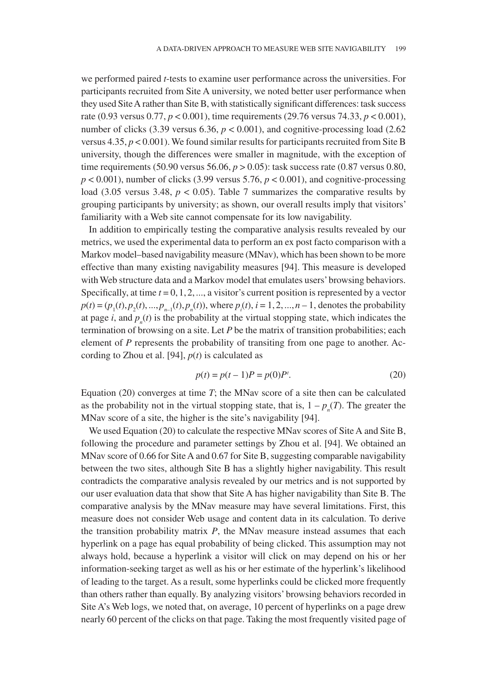we performed paired *t*-tests to examine user performance across the universities. For participants recruited from Site A university, we noted better user performance when they used SiteA rather than SiteB, with statistically significant differences: task success rate (0.93 versus 0.77, *p* < 0.001), time requirements (29.76 versus 74.33, *p* < 0.001), number of clicks  $(3.39 \text{ versus } 6.36, p < 0.001)$ , and cognitive-processing load  $(2.62 \text{ m})$ versus  $4.35, p < 0.001$ ). We found similar results for participants recruited from Site B university, though the differences were smaller in magnitude, with the exception of time requirements (50.90 versus 56.06, *p* > 0.05): task success rate (0.87 versus 0.80,  $p < 0.001$ ), number of clicks (3.99 versus 5.76,  $p < 0.001$ ), and cognitive-processing load (3.05 versus 3.48,  $p < 0.05$ ). Table 7 summarizes the comparative results by grouping participants by university; as shown, our overall results imply that visitors' familiarity with a Web site cannot compensate for its low navigability.

In addition to empirically testing the comparative analysis results revealed by our metrics, we used the experimental data to perform an ex post facto comparison with a Markov model–based navigability measure (MNav), which has been shown to be more effective than many existing navigability measures [94]. This measure is developed with Web structure data and a Markov model that emulates users' browsing behaviors. Specifically, at time  $t = 0, 1, 2, \dots$ , a visitor's current position is represented by a vector  $p(t) = (p_1(t), p_2(t), ..., p_{n-1}(t), p_n(t))$ , where  $p_i(t)$ ,  $i = 1, 2, ..., n-1$ , denotes the probability at page  $i$ , and  $p_n(t)$  is the probability at the virtual stopping state, which indicates the termination of browsing on a site. Let *P* be the matrix of transition probabilities; each element of *P* represents the probability of transiting from one page to another. According to Zhou et al. [94],  $p(t)$  is calculated as

$$
p(t) = p(t-1)P = p(0)P'.
$$
\n(20)

Equation (20) converges at time *T*; the MNav score of a site then can be calculated as the probability not in the virtual stopping state, that is,  $1 - p_n(T)$ . The greater the MNav score of a site, the higher is the site's navigability [94].

We used Equation (20) to calculate the respective MNav scores of Site A and Site B, following the procedure and parameter settings by Zhou et al. [94]. We obtained an MNav score of 0.66 for Site A and 0.67 for Site B, suggesting comparable navigability between the two sites, although Site B has a slightly higher navigability. This result contradicts the comparative analysis revealed by our metrics and is not supported by our user evaluation data that show that Site A has higher navigability than Site B. The comparative analysis by the MNav measure may have several limitations. First, this measure does not consider Web usage and content data in its calculation. To derive the transition probability matrix *P*, the MNav measure instead assumes that each hyperlink on a page has equal probability of being clicked. This assumption may not always hold, because a hyperlink a visitor will click on may depend on his or her information-seeking target as well as his or her estimate of the hyperlink's likelihood of leading to the target. As a result, some hyperlinks could be clicked more frequently than others rather than equally. By analyzing visitors' browsing behaviors recorded in Site A's Web logs, we noted that, on average, 10 percent of hyperlinks on a page drew nearly 60 percent of the clicks on that page. Taking the most frequently visited page of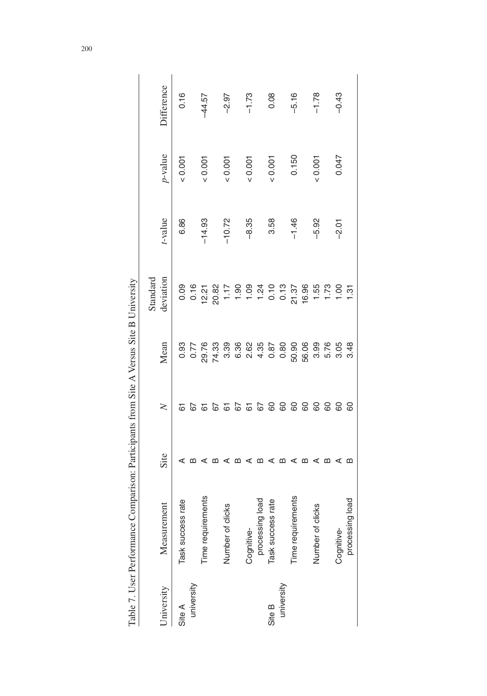|            |                   |                      |        |      | Standard  |          |            |                 |
|------------|-------------------|----------------------|--------|------|-----------|----------|------------|-----------------|
| Jniversity | Measurement       | Site                 | $\geq$ | Mean | deviation | t-value  | $p$ -value | Difference      |
| Site A     | Task success rat  | ⋖                    |        |      |           | 6.86     | 0.001      | 0.16            |
| university |                   |                      |        |      |           |          |            |                 |
|            | Time requiremen   | ≺                    |        |      |           | $-14.93$ | 0.001      | $-44.57$        |
|            |                   | മ                    |        |      |           |          |            |                 |
|            | Number of clicks  | ⋖                    |        |      |           | $-10.72$ | 0.001      | $-2.97$         |
|            |                   |                      |        |      |           |          |            |                 |
|            | Cognitive-        | $m \, \triangleleft$ |        |      |           | $-8.35$  | 10000      | $-1.73$<br>0.08 |
|            | processing loa    | $\mathbf{m}$         |        |      |           |          |            |                 |
| Site B     | Task success rati | $\prec$              |        |      |           | 3.58     | 10001      |                 |
| university |                   | m                    |        |      |           |          |            |                 |
|            | Time requirements | ∢ മ ∢                |        |      |           | $-1.46$  | 0.150      | $-5.16$         |
|            |                   |                      |        |      |           |          |            |                 |
|            | Number of clicks  |                      |        |      |           | $-5.92$  | 10001      | $-1.78$         |
|            |                   | മ                    |        |      |           |          |            |                 |
|            | Cognitive-        | ⋖                    |        |      |           | $-2.01$  | 0.047      | $-0.43$         |
|            | processing load   | മ                    | 80     |      |           |          |            |                 |

Table 7. User Performance Comparison: Participants from Site A Versus Site B University Table 7. User Performance Comparison: Participants from Site A Versus Site B University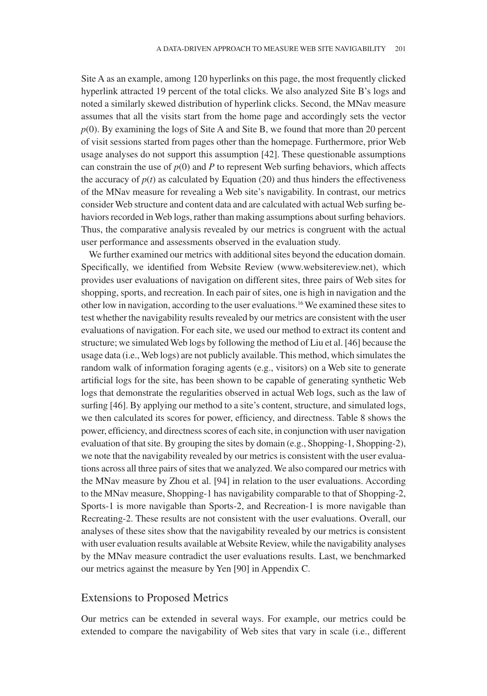Site A as an example, among 120 hyperlinks on this page, the most frequently clicked hyperlink attracted 19 percent of the total clicks. We also analyzed Site B's logs and noted a similarly skewed distribution of hyperlink clicks. Second, the MNav measure assumes that all the visits start from the home page and accordingly sets the vector *p*(0). By examining the logs of Site A and Site B, we found that more than 20 percent of visit sessions started from pages other than the homepage. Furthermore, prior Web usage analyses do not support this assumption [42]. These questionable assumptions can constrain the use of  $p(0)$  and  $P$  to represent Web surfing behaviors, which affects the accuracy of  $p(t)$  as calculated by Equation (20) and thus hinders the effectiveness of the MNav measure for revealing a Web site's navigability. In contrast, our metrics consider Web structure and content data and are calculated with actual Web surfing behaviors recorded in Web logs, rather than making assumptions about surfing behaviors. Thus, the comparative analysis revealed by our metrics is congruent with the actual user performance and assessments observed in the evaluation study.

We further examined our metrics with additional sites beyond the education domain. Specifically, we identified from Website Review (www.websitereview.net), which provides user evaluations of navigation on different sites, three pairs of Web sites for shopping, sports, and recreation. In each pair of sites, one is high in navigation and the other low in navigation, according to the user evaluations.16We examined these sites to test whether the navigability results revealed by our metrics are consistent with the user evaluations of navigation. For each site, we used our method to extract its content and structure; we simulated Web logs by following the method of Liu et al. [46] because the usage data (i.e., Web logs) are not publicly available. This method, which simulates the random walk of information foraging agents (e.g., visitors) on a Web site to generate artificial logs for the site, has been shown to be capable of generating synthetic Web logs that demonstrate the regularities observed in actual Web logs, such as the law of surfing [46]. By applying our method to a site's content, structure, and simulated logs, we then calculated its scores for power, efficiency, and directness. Table 8 shows the power, efficiency, and directness scores of each site, in conjunction with user navigation evaluation of that site. By grouping the sites by domain (e.g., Shopping-1, Shopping-2), we note that the navigability revealed by our metrics is consistent with the user evaluations across all three pairs of sites that we analyzed. We also compared our metrics with the MNav measure by Zhou et al. [94] in relation to the user evaluations. According to the MNav measure, Shopping-1 has navigability comparable to that of Shopping-2, Sports-1 is more navigable than Sports-2, and Recreation-1 is more navigable than Recreating-2. These results are not consistent with the user evaluations. Overall, our analyses of these sites show that the navigability revealed by our metrics is consistent with user evaluation results available at Website Review, while the navigability analyses by the MNav measure contradict the user evaluations results. Last, we benchmarked our metrics against the measure by Yen [90] in Appendix C.

#### Extensions to Proposed Metrics

Our metrics can be extended in several ways. For example, our metrics could be extended to compare the navigability of Web sites that vary in scale (i.e., different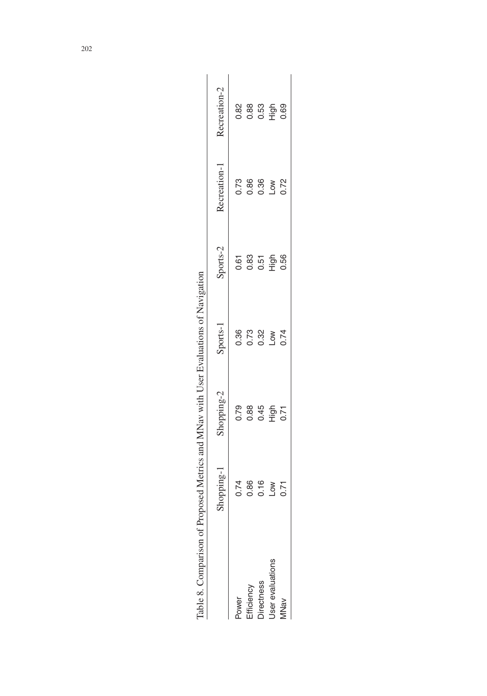|                  | Shopping-1       | Shopping-2 | Sports-1                   | Sports-2                   | Recreation-1              | Recreation-2 |
|------------------|------------------|------------|----------------------------|----------------------------|---------------------------|--------------|
| Power            | 0.74             |            |                            | 0.61                       |                           |              |
| :fficiency       |                  |            |                            |                            |                           |              |
| irectness        | 0.36             |            | 86<br>0.03<br>0.03<br>0.03 |                            | 8<br>0.86<br>0.0.8<br>0.0 |              |
| Jser evaluations | $\sum_{i=1}^{n}$ | 0.88457    |                            | 83<br>55<br>55<br>56<br>56 |                           | 888758       |
| <b>Mav</b>       | 0.71             |            | 0.74                       |                            | 0.72                      |              |

| -- ^ - - -                                                                                                       |
|------------------------------------------------------------------------------------------------------------------|
| ١                                                                                                                |
| ֧֖ׅ֧֧֧֧֧֧֧֧֧֧֧֧֧֛֚֚֚֚֚֚֚֚֚֚֚֚֚֚֚֝֝֓֝֬֝֓֝֓֝֬֝֓֝֬֝֓֝֬֝֬֝֬֝֬<br>֧֪֧֧֪֖֖֖֖֖֧֛֚֚֚֚֚֚֚֝֝֝֬֝֝                           |
|                                                                                                                  |
| $\overline{a}$<br>j                                                                                              |
|                                                                                                                  |
|                                                                                                                  |
|                                                                                                                  |
|                                                                                                                  |
|                                                                                                                  |
|                                                                                                                  |
| ֧֧֧֦֧ׅ֧֧֧֧֧֧֛֛֧֧ׅ֧֧֧֧֧֧֛֛֚֚֚֚֚֚֚֚֚֚֚֚֚֚֚֚֚֚֝֝֓֕֜֓֝֬֝֟֓֝֬֝֓֝֬֜֟֓֝֬֜֝֬֝֬֝֬֝֬֝֬<br>֧֧֧֧֧֧֧֧֛֧֛֛֛֛֛֛֛֛֛֛֧֛֚֚֝֜֜֜֟֬֩֩ |
|                                                                                                                  |
| $\sim$ $\sim$ $\sim$ $\sim$ $\sim$ $\sim$                                                                        |
| $\frac{1}{2}$                                                                                                    |
|                                                                                                                  |
| <b>FRIMA</b>                                                                                                     |
|                                                                                                                  |
| ł                                                                                                                |
| j                                                                                                                |
|                                                                                                                  |
| - The contract of the set of the set of the set of the set of the set of the set of the set of the set of the s  |
|                                                                                                                  |
|                                                                                                                  |
|                                                                                                                  |
|                                                                                                                  |
|                                                                                                                  |
|                                                                                                                  |
| l                                                                                                                |
| l                                                                                                                |
| I                                                                                                                |
| n of limono                                                                                                      |
|                                                                                                                  |
| i                                                                                                                |
|                                                                                                                  |
| í                                                                                                                |
|                                                                                                                  |
| <b>CONGRESS CONTINUES</b><br>ζ                                                                                   |
|                                                                                                                  |
|                                                                                                                  |
|                                                                                                                  |
| $\frac{1}{2}$<br>.<br>F                                                                                          |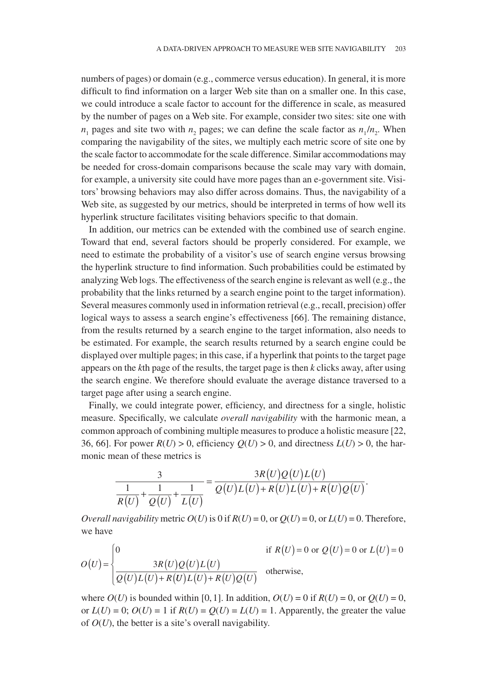numbers of pages) or domain (e.g., commerce versus education). In general, it is more difficult to find information on a larger Web site than on a smaller one. In this case, we could introduce a scale factor to account for the difference in scale, as measured by the number of pages on a Web site. For example, consider two sites: site one with  $n_1$  pages and site two with  $n_2$  pages; we can define the scale factor as  $n_1/n_2$ . When comparing the navigability of the sites, we multiply each metric score of site one by the scale factor to accommodate for the scale difference. Similar accommodations may be needed for cross-domain comparisons because the scale may vary with domain, for example, a university site could have more pages than an e-government site. Visitors' browsing behaviors may also differ across domains. Thus, the navigability of a Web site, as suggested by our metrics, should be interpreted in terms of how well its hyperlink structure facilitates visiting behaviors specific to that domain.

In addition, our metrics can be extended with the combined use of search engine. Toward that end, several factors should be properly considered. For example, we need to estimate the probability of a visitor's use of search engine versus browsing the hyperlink structure to find information. Such probabilities could be estimated by analyzing Web logs. The effectiveness of the search engine is relevant as well (e.g., the probability that the links returned by a search engine point to the target information). Several measures commonly used in information retrieval (e.g., recall, precision) offer logical ways to assess a search engine's effectiveness [66]. The remaining distance, from the results returned by a search engine to the target information, also needs to be estimated. For example, the search results returned by a search engine could be displayed over multiple pages; in this case, if a hyperlink that points to the target page appears on the *k*th page of the results, the target page is then *k* clicks away, after using the search engine. We therefore should evaluate the average distance traversed to a target page after using a search engine.

Finally, we could integrate power, efficiency, and directness for a single, holistic measure. Specifically, we calculate *overall navigability* with the harmonic mean, a common approach of combining multiple measures to produce a holistic measure [22, 36, 66]. For power  $R(U) > 0$ , efficiency  $Q(U) > 0$ , and directness  $L(U) > 0$ , the harmonic mean of these metrics is

$$
\frac{3}{\frac{1}{R(U)} + \frac{1}{Q(U)} + \frac{1}{L(U)}} = \frac{3R(U)Q(U)L(U)}{Q(U)L(U) + R(U)L(U) + R(U)Q(U)}.
$$

*Overall navigability metric*  $O(U)$  *is 0 if*  $R(U) = 0$ *, or*  $Q(U) = 0$ *, or*  $L(U) = 0$ *. Therefore,* we have

$$
O(U) = \begin{cases} 0 & \text{if } R(U) = 0 \text{ or } Q(U) = 0 \text{ or } L(U) = 0 \\ \frac{3R(U)Q(U)L(U)}{Q(U)L(U) + R(U)L(U) + R(U)Q(U)} & \text{otherwise,} \end{cases}
$$

where  $O(U)$  is bounded within [0, 1]. In addition,  $O(U) = 0$  if  $R(U) = 0$ , or  $Q(U) = 0$ , or  $L(U) = 0$ ;  $O(U) = 1$  if  $R(U) = Q(U) = L(U) = 1$ . Apparently, the greater the value of  $O(U)$ , the better is a site's overall navigability.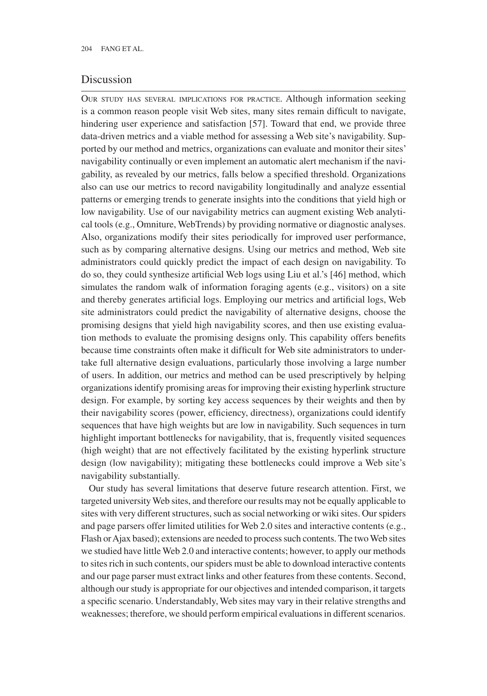#### Discussion

Our study has several implications for practice. Although information seeking is a common reason people visit Web sites, many sites remain difficult to navigate, hindering user experience and satisfaction [57]. Toward that end, we provide three data-driven metrics and a viable method for assessing a Web site's navigability. Supported by our method and metrics, organizations can evaluate and monitor their sites' navigability continually or even implement an automatic alert mechanism if the navigability, as revealed by our metrics, falls below a specified threshold. Organizations also can use our metrics to record navigability longitudinally and analyze essential patterns or emerging trends to generate insights into the conditions that yield high or low navigability. Use of our navigability metrics can augment existing Web analytical tools (e.g., Omniture, WebTrends) by providing normative or diagnostic analyses. Also, organizations modify their sites periodically for improved user performance, such as by comparing alternative designs. Using our metrics and method, Web site administrators could quickly predict the impact of each design on navigability. To do so, they could synthesize artificial Web logs using Liu et al.'s [46] method, which simulates the random walk of information foraging agents (e.g., visitors) on a site and thereby generates artificial logs. Employing our metrics and artificial logs, Web site administrators could predict the navigability of alternative designs, choose the promising designs that yield high navigability scores, and then use existing evaluation methods to evaluate the promising designs only. This capability offers benefits because time constraints often make it difficult for Web site administrators to undertake full alternative design evaluations, particularly those involving a large number of users. In addition, our metrics and method can be used prescriptively by helping organizations identify promising areas for improving their existing hyperlink structure design. For example, by sorting key access sequences by their weights and then by their navigability scores (power, efficiency, directness), organizations could identify sequences that have high weights but are low in navigability. Such sequences in turn highlight important bottlenecks for navigability, that is, frequently visited sequences (high weight) that are not effectively facilitated by the existing hyperlink structure design (low navigability); mitigating these bottlenecks could improve a Web site's navigability substantially.

Our study has several limitations that deserve future research attention. First, we targeted university Web sites, and therefore our results may not be equally applicable to sites with very different structures, such as social networking or wiki sites. Our spiders and page parsers offer limited utilities for Web 2.0 sites and interactive contents (e.g., Flash or Ajax based); extensions are needed to process such contents. The two Web sites we studied have little Web 2.0 and interactive contents; however, to apply our methods to sites rich in such contents, our spiders must be able to download interactive contents and our page parser must extract links and other features from these contents. Second, although our study is appropriate for our objectives and intended comparison, it targets a specific scenario. Understandably, Web sites may vary in their relative strengths and weaknesses; therefore, we should perform empirical evaluations in different scenarios.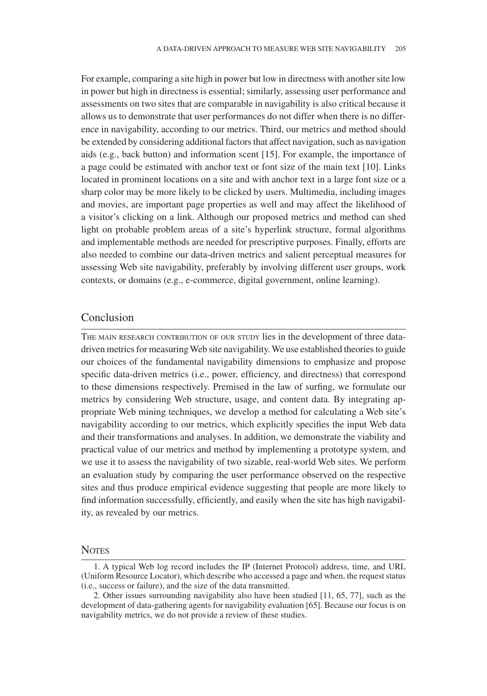For example, comparing a site high in power but low in directness with another site low in power but high in directness is essential; similarly, assessing user performance and assessments on two sites that are comparable in navigability is also critical because it allows us to demonstrate that user performances do not differ when there is no difference in navigability, according to our metrics. Third, our metrics and method should be extended by considering additional factors that affect navigation, such as navigation aids (e.g., back button) and information scent [15]. For example, the importance of a page could be estimated with anchor text or font size of the main text [10]. Links located in prominent locations on a site and with anchor text in a large font size or a sharp color may be more likely to be clicked by users. Multimedia, including images and movies, are important page properties as well and may affect the likelihood of a visitor's clicking on a link. Although our proposed metrics and method can shed light on probable problem areas of a site's hyperlink structure, formal algorithms and implementable methods are needed for prescriptive purposes. Finally, efforts are also needed to combine our data-driven metrics and salient perceptual measures for assessing Web site navigability, preferably by involving different user groups, work contexts, or domains (e.g., e-commerce, digital government, online learning).

## Conclusion

THE MAIN RESEARCH CONTRIBUTION OF OUR STUDY lies in the development of three datadriven metrics for measuring Web site navigability. We use established theories to guide our choices of the fundamental navigability dimensions to emphasize and propose specific data-driven metrics (i.e., power, efficiency, and directness) that correspond to these dimensions respectively. Premised in the law of surfing, we formulate our metrics by considering Web structure, usage, and content data. By integrating appropriate Web mining techniques, we develop a method for calculating a Web site's navigability according to our metrics, which explicitly specifies the input Web data and their transformations and analyses. In addition, we demonstrate the viability and practical value of our metrics and method by implementing a prototype system, and we use it to assess the navigability of two sizable, real-world Web sites. We perform an evaluation study by comparing the user performance observed on the respective sites and thus produce empirical evidence suggesting that people are more likely to find information successfully, efficiently, and easily when the site has high navigability, as revealed by our metrics.

#### **NOTES**

<sup>1.</sup> A typical Web log record includes the IP (Internet Protocol) address, time, and URL (Uniform Resource Locator), which describe who accessed a page and when, the request status (i.e., success or failure), and the size of the data transmitted.

<sup>2.</sup> Other issues surrounding navigability also have been studied [11, 65, 77], such as the development of data-gathering agents for navigability evaluation [65]. Because our focus is on navigability metrics, we do not provide a review of these studies.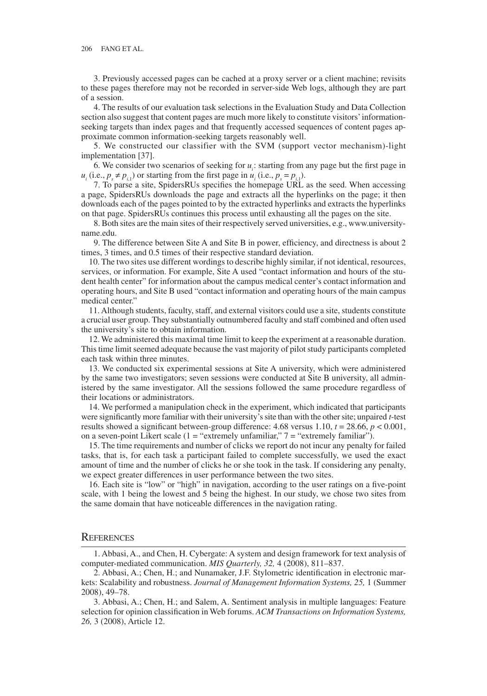3. Previously accessed pages can be cached at a proxy server or a client machine; revisits to these pages therefore may not be recorded in server-side Web logs, although they are part of a session.

4. The results of our evaluation task selections in the Evaluation Study and Data Collection section also suggest that content pages are much more likely to constitute visitors' informationseeking targets than index pages and that frequently accessed sequences of content pages approximate common information-seeking targets reasonably well.

5. We constructed our classifier with the SVM (support vector mechanism)-light implementation [37].

6. We consider two scenarios of seeking for  $u_i$ : starting from any page but the first page in  $u_i$  (i.e.,  $p_s \neq p_{i,1}$ ) or starting from the first page in  $u_i$  (i.e.,  $p_s = p_{i,1}$ ).

7. To parse a site, SpidersRUs specifies the homepage URL as the seed. When accessing a page, SpidersRUs downloads the page and extracts all the hyperlinks on the page; it then downloads each of the pages pointed to by the extracted hyperlinks and extracts the hyperlinks on that page. SpidersRUs continues this process until exhausting all the pages on the site.

8. Both sites are the main sites of their respectively served universities, e.g., www.universityname.edu.

9. The difference between Site A and Site B in power, efficiency, and directness is about 2 times, 3 times, and 0.5 times of their respective standard deviation.

10. The two sites use different wordings to describe highly similar, if not identical, resources, services, or information. For example, Site A used "contact information and hours of the student health center" for information about the campus medical center's contact information and operating hours, and Site B used "contact information and operating hours of the main campus medical center."

11. Although students, faculty, staff, and external visitors could use a site, students constitute a crucial user group. They substantially outnumbered faculty and staff combined and often used the university's site to obtain information.

12. We administered this maximal time limit to keep the experiment at a reasonable duration. This time limit seemed adequate because the vast majority of pilot study participants completed each task within three minutes.

13. We conducted six experimental sessions at Site A university, which were administered by the same two investigators; seven sessions were conducted at Site B university, all administered by the same investigator. All the sessions followed the same procedure regardless of their locations or administrators.

14. We performed a manipulation check in the experiment, which indicated that participants were significantly more familiar with their university's site than with the other site; unpaired *t*-test results showed a significant between-group difference: 4.68 versus 1.10, *t* = 28.66, *p* < 0.001, on a seven-point Likert scale  $(1 = "extremely unfamiliar," 7 = "extremely familiar").$ 

15. The time requirements and number of clicks we report do not incur any penalty for failed tasks, that is, for each task a participant failed to complete successfully, we used the exact amount of time and the number of clicks he or she took in the task. If considering any penalty, we expect greater differences in user performance between the two sites.

16. Each site is "low" or "high" in navigation, according to the user ratings on a five-point scale, with 1 being the lowest and 5 being the highest. In our study, we chose two sites from the same domain that have noticeable differences in the navigation rating.

#### **REFERENCES**

1. Abbasi, A., and Chen, H. Cybergate: A system and design framework for text analysis of computer-mediated communication. *MIS Quarterly, 32,* 4 (2008), 811–837.

2. Abbasi, A.; Chen, H.; and Nunamaker, J.F. Stylometric identification in electronic markets: Scalability and robustness. *Journal of Management Information Systems, 25,* 1 (Summer 2008), 49–78.

3. Abbasi, A.; Chen, H.; and Salem, A. Sentiment analysis in multiple languages: Feature selection for opinion classification in Web forums. *ACM Transactions on Information Systems, 26,* 3 (2008), Article 12.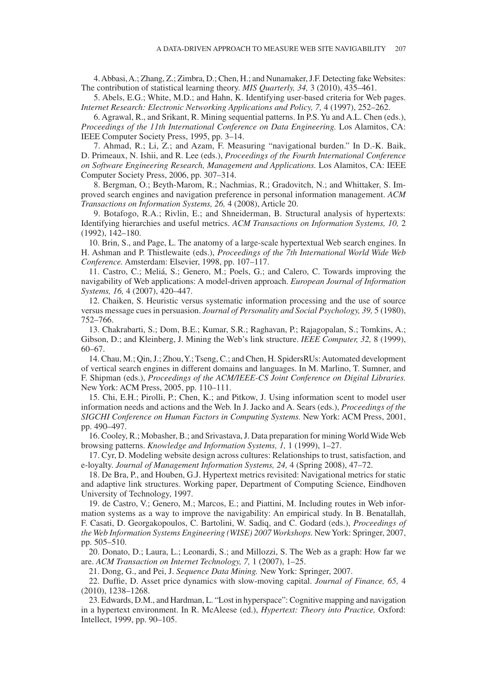4. Abbasi, A.; Zhang, Z.; Zimbra, D.; Chen, H.; and Nunamaker, J.F. Detecting fake Websites: The contribution of statistical learning theory. *MIS Quarterly, 34,* 3 (2010), 435–461.

5. Abels, E.G.; White, M.D.; and Hahn, K. Identifying user-based criteria for Web pages. *Internet Research: Electronic Networking Applications and Policy, 7,* 4 (1997), 252–262.

6. Agrawal, R., and Srikant, R. Mining sequential patterns. In P.S. Yu and A.L. Chen (eds.), *Proceedings of the 11th International Conference on Data Engineering.* Los Alamitos, CA: IEEE Computer Society Press, 1995, pp. 3–14.

7. Ahmad, R.; Li, Z.; and Azam, F. Measuring "navigational burden." In D.-K. Baik, D. Primeaux, N. Ishii, and R. Lee (eds.), *Proceedings of the Fourth International Conference on Software Engineering Research, Management and Applications.* Los Alamitos, CA: IEEE Computer Society Press, 2006, pp. 307–314.

8. Bergman, O.; Beyth-Marom, R.; Nachmias, R.; Gradovitch, N.; and Whittaker, S. Improved search engines and navigation preference in personal information management. *ACM Transactions on Information Systems, 26,* 4 (2008), Article 20.

9. Botafogo, R.A.; Rivlin, E.; and Shneiderman, B. Structural analysis of hypertexts: Identifying hierarchies and useful metrics. *ACM Transactions on Information Systems, 10,* 2 (1992), 142–180.

10. Brin, S., and Page, L. The anatomy of a large-scale hypertextual Web search engines. In H. Ashman and P. Thistlewaite (eds.), *Proceedings of the 7th International World Wide Web Conference.* Amsterdam: Elsevier, 1998, pp. 107–117.

11. Castro, C.; Meliá, S.; Genero, M.; Poels, G.; and Calero, C. Towards improving the navigability of Web applications: A model-driven approach. *European Journal of Information Systems, 16,* 4 (2007), 420–447.

12. Chaiken, S. Heuristic versus systematic information processing and the use of source versus message cues in persuasion. *Journal of Personality and Social Psychology, 39,* 5 (1980), 752–766.

13. Chakrabarti, S.; Dom, B.E.; Kumar, S.R.; Raghavan, P.; Rajagopalan, S.; Tomkins, A.; Gibson, D.; and Kleinberg, J. Mining the Web's link structure. *IEEE Computer, 32,* 8 (1999), 60–67.

14. Chau, M.; Qin, J.; Zhou, Y.; Tseng, C.; and Chen, H. SpidersRUs: Automated development of vertical search engines in different domains and languages. In M. Marlino, T. Sumner, and F. Shipman (eds.), *Proceedings of the ACM/IEEE-CS Joint Conference on Digital Libraries.* New York: ACM Press, 2005, pp. 110–111.

15. Chi, E.H.; Pirolli, P.; Chen, K.; and Pitkow, J. Using information scent to model user information needs and actions and the Web. In J. Jacko and A. Sears (eds.), *Proceedings of the SIGCHI Conference on Human Factors in Computing Systems.* New York: ACM Press, 2001, pp. 490–497.

16. Cooley, R.; Mobasher, B.; and Srivastava, J. Data preparation for mining World Wide Web browsing patterns. *Knowledge and Information Systems, 1,* 1 (1999), 1–27.

17. Cyr, D. Modeling website design across cultures: Relationships to trust, satisfaction, and e-loyalty. *Journal of Management Information Systems, 24,* 4 (Spring 2008), 47–72.

18. De Bra, P., and Houben, G.J. Hypertext metrics revisited: Navigational metrics for static and adaptive link structures. Working paper, Department of Computing Science, Eindhoven University of Technology, 1997.

19. de Castro, V.; Genero, M.; Marcos, E.; and Piattini, M. Including routes in Web information systems as a way to improve the navigability: An empirical study. In B. Benatallah, F. Casati, D. Georgakopoulos, C. Bartolini, W. Sadiq, and C. Godard (eds.), *Proceedings of the Web Information Systems Engineering (WISE) 2007 Workshops.* New York: Springer, 2007, pp. 505–510.

20. Donato, D.; Laura, L.; Leonardi, S.; and Millozzi, S. The Web as a graph: How far we are. *ACM Transaction on Internet Technology, 7,* 1 (2007), 1–25.

21. Dong, G., and Pei, J. *Sequence Data Mining.* New York: Springer, 2007.

22. Duffie, D. Asset price dynamics with slow-moving capital. *Journal of Finance, 65,* 4 (2010), 1238–1268.

23. Edwards, D.M., and Hardman, L. "Lost in hyperspace": Cognitive mapping and navigation in a hypertext environment. In R. McAleese (ed.), *Hypertext: Theory into Practice,* Oxford: Intellect, 1999, pp. 90–105.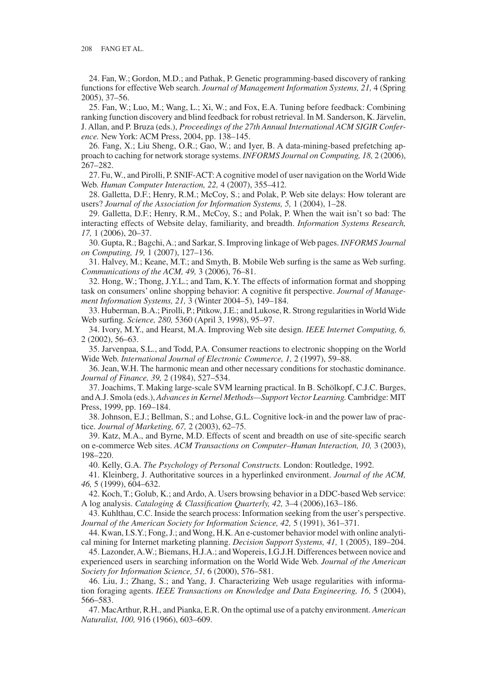208 FANG ET AL.

24. Fan, W.; Gordon, M.D.; and Pathak, P. Genetic programming-based discovery of ranking functions for effective Web search. *Journal of Management Information Systems, 21,* 4 (Spring 2005), 37–56.

25. Fan, W.; Luo, M.; Wang, L.; Xi, W.; and Fox, E.A. Tuning before feedback: Combining ranking function discovery and blind feedback for robust retrieval. In M. Sanderson, K. Järvelin, J. Allan, and P. Bruza (eds.), *Proceedings of the 27th Annual International ACM SIGIR Conference.* New York: ACM Press, 2004, pp. 138–145.

26. Fang, X.; Liu Sheng, O.R.; Gao, W.; and Iyer, B. A data-mining-based prefetching approach to caching for network storage systems. *INFORMS Journal on Computing, 18,* 2 (2006), 267–282.

27. Fu, W., and Pirolli, P. SNIF-ACT: A cognitive model of user navigation on the World Wide Web. *Human Computer Interaction, 22,* 4 (2007), 355–412.

28. Galletta, D.F.; Henry, R.M.; McCoy, S.; and Polak, P. Web site delays: How tolerant are users? *Journal of the Association for Information Systems, 5,* 1 (2004), 1–28.

29. Galletta, D.F.; Henry, R.M., McCoy, S.; and Polak, P. When the wait isn't so bad: The interacting effects of Website delay, familiarity, and breadth. *Information Systems Research, 17,* 1 (2006), 20–37.

30. Gupta, R.; Bagchi, A.; and Sarkar, S. Improving linkage of Web pages. *INFORMS Journal on Computing, 19,* 1 (2007), 127–136.

31. Halvey, M.; Keane, M.T.; and Smyth, B. Mobile Web surfing is the same as Web surfing. *Communications of the ACM, 49,* 3 (2006), 76–81.

32. Hong, W.; Thong, J.Y.L.; and Tam, K.Y. The effects of information format and shopping task on consumers' online shopping behavior: A cognitive fit perspective. *Journal of Management Information Systems, 21,* 3 (Winter 2004–5), 149–184.

33. Huberman, B.A.; Pirolli, P.; Pitkow, J.E.; and Lukose, R. Strong regularities in World Wide Web surfing. *Science, 280,* 5360 (April 3, 1998), 95–97.

34. Ivory, M.Y., and Hearst, M.A. Improving Web site design. *IEEE Internet Computing, 6,* 2 (2002), 56–63.

35. Jarvenpaa, S.L., and Todd, P.A. Consumer reactions to electronic shopping on the World Wide Web. *International Journal of Electronic Commerce, 1,* 2 (1997), 59–88.

36. Jean, W.H. The harmonic mean and other necessary conditions for stochastic dominance. *Journal of Finance, 39,* 2 (1984), 527–534.

37. Joachims, T. Making large-scale SVM learning practical. In B. Schölkopf, C.J.C. Burges, and A.J. Smola (eds.), *Advances in Kernel Methods—Support Vector Learning.*Cambridge: MIT Press, 1999, pp. 169–184.

38. Johnson, E.J.; Bellman, S.; and Lohse, G.L. Cognitive lock-in and the power law of practice. *Journal of Marketing, 67,* 2 (2003), 62–75.

39. Katz, M.A., and Byrne, M.D. Effects of scent and breadth on use of site-specific search on e-commerce Web sites. *ACM Transactions on Computer–Human Interaction, 10,* 3 (2003), 198–220.

40. Kelly, G.A. *The Psychology of Personal Constructs.* London: Routledge, 1992.

41. Kleinberg, J. Authoritative sources in a hyperlinked environment. *Journal of the ACM, 46,* 5 (1999), 604–632.

42. Koch, T.; Golub, K.; and Ardo, A. Users browsing behavior in a DDC-based Web service: A log analysis. *Cataloging & Classification Quarterly, 42,* 3–4 (2006),163–186.

43. Kuhlthau, C.C. Inside the search process: Information seeking from the user's perspective. *Journal of the American Society for Information Science, 42,* 5 (1991), 361–371.

44. Kwan, I.S.Y.; Fong, J.; and Wong, H.K. An e-customer behavior model with online analytical mining for Internet marketing planning. *Decision Support Systems, 41,* 1 (2005), 189–204.

45. Lazonder, A.W.; Biemans, H.J.A.; and Wopereis, I.G.J.H. Differences between novice and experienced users in searching information on the World Wide Web. *Journal of the American Society for Information Science, 51,* 6 (2000), 576–581.

46. Liu, J.; Zhang, S.; and Yang, J. Characterizing Web usage regularities with information foraging agents. *IEEE Transactions on Knowledge and Data Engineering, 16,* 5 (2004), 566–583.

47. MacArthur, R.H., and Pianka, E.R. On the optimal use of a patchy environment. *American Naturalist, 100,* 916 (1966), 603–609.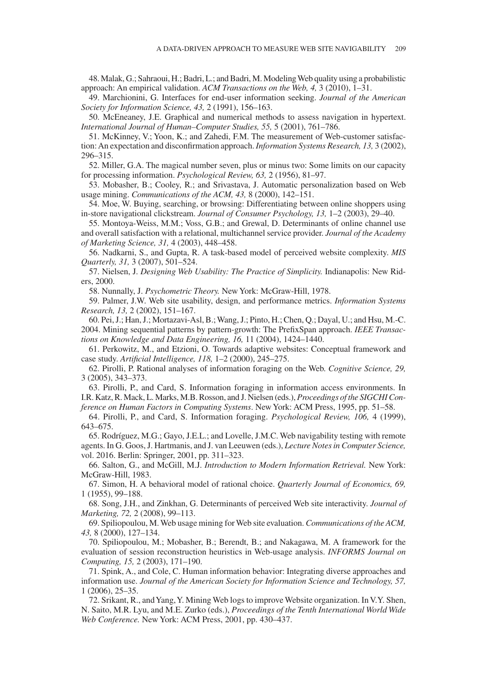48. Malak, G.; Sahraoui, H.; Badri, L.; and Badri, M. Modeling Web quality using a probabilistic approach: An empirical validation. *ACM Transactions on the Web, 4,* 3 (2010), 1–31.

49. Marchionini, G. Interfaces for end-user information seeking. *Journal of the American Society for Information Science, 43,* 2 (1991), 156–163.

50. McEneaney, J.E. Graphical and numerical methods to assess navigation in hypertext. *International Journal of Human–Computer Studies, 55,* 5 (2001), 761–786.

51. McKinney, V.; Yoon, K.; and Zahedi, F.M. The measurement of Web-customer satisfaction: An expectation and disconfirmation approach. *Information Systems Research, 13,* 3 (2002), 296–315.

52. Miller, G.A. The magical number seven, plus or minus two: Some limits on our capacity for processing information. *Psychological Review, 63,* 2 (1956), 81–97.

53. Mobasher, B.; Cooley, R.; and Srivastava, J. Automatic personalization based on Web usage mining. *Communications of the ACM, 43,* 8 (2000), 142–151.

54. Moe, W. Buying, searching, or browsing: Differentiating between online shoppers using in-store navigational clickstream. *Journal of Consumer Psychology, 13,* 1–2 (2003), 29–40.

55. Montoya-Weiss, M.M.; Voss, G.B.; and Grewal, D. Determinants of online channel use and overall satisfaction with a relational, multichannel service provider. *Journal of the Academy of Marketing Science, 31,* 4 (2003), 448–458.

56. Nadkarni, S., and Gupta, R. A task-based model of perceived website complexity. *MIS Quarterly, 31,* 3 (2007), 501–524.

57. Nielsen, J. *Designing Web Usability: The Practice of Simplicity.* Indianapolis: New Riders, 2000.

58. Nunnally, J. *Psychometric Theory.* New York: McGraw-Hill, 1978.

59. Palmer, J.W. Web site usability, design, and performance metrics. *Information Systems Research, 13,* 2 (2002), 151–167.

60. Pei, J.; Han, J.; Mortazavi-Asl, B.; Wang, J.; Pinto, H.; Chen, Q.; Dayal, U.; and Hsu, M.‑C. 2004. Mining sequential patterns by pattern-growth: The PrefixSpan approach. *IEEE Transactions on Knowledge and Data Engineering, 16,* 11 (2004), 1424–1440.

61. Perkowitz, M., and Etzioni, O. Towards adaptive websites: Conceptual framework and case study. *Artificial Intelligence, 118,* 1–2 (2000), 245–275.

62. Pirolli, P. Rational analyses of information foraging on the Web. *Cognitive Science, 29,* 3 (2005), 343–373.

63. Pirolli, P., and Card, S. Information foraging in information access environments. In I.R. Katz, R. Mack, L. Marks, M.B. Rosson, and J. Nielsen (eds.), *Proceedings of the SIGCHI Conference on Human Factors in Computing Systems*. New York: ACM Press, 1995, pp. 51–58.

64. Pirolli, P., and Card, S. Information foraging. *Psychological Review, 106,* 4 (1999), 643–675.

65. Rodríguez, M.G.; Gayo, J.E.L.; and Lovelle, J.M.C. Web navigability testing with remote agents. In G. Goos, J. Hartmanis, and J. van Leeuwen (eds.), *Lecture Notes in Computer Science,* vol. 2016. Berlin: Springer, 2001, pp. 311–323.

66. Salton, G., and McGill, M.J. *Introduction to Modern Information Retrieval.* New York: McGraw-Hill, 1983.

67. Simon, H. A behavioral model of rational choice. *Quarterly Journal of Economics, 69,*  1 (1955), 99–188.

68. Song, J.H., and Zinkhan, G. Determinants of perceived Web site interactivity. *Journal of Marketing, 72,* 2 (2008), 99–113.

69. Spiliopoulou, M. Web usage mining for Web site evaluation. *Communications of the ACM, 43,* 8 (2000), 127–134.

70. Spiliopoulou, M.; Mobasher, B.; Berendt, B.; and Nakagawa, M. A framework for the evaluation of session reconstruction heuristics in Web-usage analysis. *INFORMS Journal on Computing, 15,* 2 (2003), 171–190.

71. Spink, A., and Cole, C. Human information behavior: Integrating diverse approaches and information use. *Journal of the American Society for Information Science and Technology, 57,*  1 (2006), 25–35.

72. Srikant, R., and Yang, Y. Mining Web logs to improve Website organization. In V.Y. Shen, N. Saito, M.R. Lyu, and M.E. Zurko (eds.), *Proceedings of the Tenth International World Wide Web Conference.* New York: ACM Press, 2001, pp. 430–437.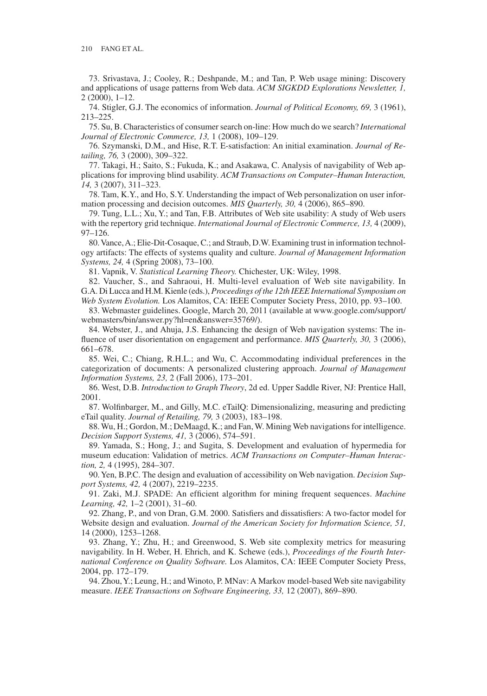210 FANG ET AL.

73. Srivastava, J.; Cooley, R.; Deshpande, M.; and Tan, P. Web usage mining: Discovery and applications of usage patterns from Web data. *ACM SIGKDD Explorations Newsletter, 1,* 2 (2000), 1–12.

74. Stigler, G.J. The economics of information. *Journal of Political Economy, 69,* 3 (1961), 213–225.

75. Su, B. Characteristics of consumer search on-line: How much do we search? *International Journal of Electronic Commerce, 13,* 1 (2008), 109–129.

76. Szymanski, D.M., and Hise, R.T. E-satisfaction: An initial examination. *Journal of Retailing, 76,* 3 (2000), 309–322.

77. Takagi, H.; Saito, S.; Fukuda, K.; and Asakawa, C. Analysis of navigability of Web applications for improving blind usability. *ACM Transactions on Computer–Human Interaction, 14,* 3 (2007), 311–323.

78. Tam, K.Y., and Ho, S.Y. Understanding the impact of Web personalization on user information processing and decision outcomes. *MIS Quarterly, 30,* 4 (2006), 865–890.

79. Tung, L.L.; Xu, Y.; and Tan, F.B. Attributes of Web site usability: A study of Web users with the repertory grid technique. *International Journal of Electronic Commerce, 13,* 4 (2009), 97–126.

80. Vance, A.; Elie-Dit-Cosaque, C.; and Straub, D.W. Examining trust in information technology artifacts: The effects of systems quality and culture. *Journal of Management Information Systems, 24,* 4 (Spring 2008), 73–100.

81. Vapnik, V. *Statistical Learning Theory.* Chichester, UK: Wiley, 1998.

82. Vaucher, S., and Sahraoui, H. Multi-level evaluation of Web site navigability. In G.A. Di Lucca and H.M. Kienle (eds.), *Proceedings of the 12th IEEE International Symposium on Web System Evolution.* Los Alamitos, CA: IEEE Computer Society Press, 2010, pp. 93–100.

83. Webmaster guidelines. Google, March 20, 2011 (available at www.google.com/support/ webmasters/bin/answer.py?hl=en&answer=35769/).

84. Webster, J., and Ahuja, J.S. Enhancing the design of Web navigation systems: The influence of user disorientation on engagement and performance. *MIS Quarterly, 30,* 3 (2006), 661–678.

85. Wei, C.; Chiang, R.H.L.; and Wu, C. Accommodating individual preferences in the categorization of documents: A personalized clustering approach. *Journal of Management Information Systems, 23,* 2 (Fall 2006), 173–201.

86. West, D.B. *Introduction to Graph Theory*, 2d ed. Upper Saddle River, NJ: Prentice Hall, 2001.

87. Wolfinbarger, M., and Gilly, M.C. eTailQ: Dimensionalizing, measuring and predicting eTail quality. *Journal of Retailing, 79,* 3 (2003), 183–198.

88. Wu, H.; Gordon, M.; DeMaagd, K.; and Fan, W. Mining Web navigations for intelligence. *Decision Support Systems, 41,* 3 (2006), 574–591.

89. Yamada, S.; Hong, J.; and Sugita, S. Development and evaluation of hypermedia for museum education: Validation of metrics. *ACM Transactions on Computer–Human Interaction, 2,* 4 (1995), 284–307.

90. Yen, B.P.C. The design and evaluation of accessibility on Web navigation. *Decision Support Systems, 42,* 4 (2007), 2219–2235.

91. Zaki, M.J. SPADE: An efficient algorithm for mining frequent sequences. *Machine Learning, 42,* 1–2 (2001), 31–60.

92. Zhang, P., and von Dran, G.M. 2000. Satisfiers and dissatisfiers: A two-factor model for Website design and evaluation. *Journal of the American Society for Information Science, 51,* 14 (2000), 1253–1268.

93. Zhang, Y.; Zhu, H.; and Greenwood, S. Web site complexity metrics for measuring navigability. In H. Weber, H. Ehrich, and K. Schewe (eds.), *Proceedings of the Fourth International Conference on Quality Software.* Los Alamitos, CA: IEEE Computer Society Press, 2004, pp. 172–179.

94. Zhou, Y.; Leung, H.; and Winoto, P. MNav: A Markov model-based Web site navigability measure. *IEEE Transactions on Software Engineering, 33,* 12 (2007), 869–890.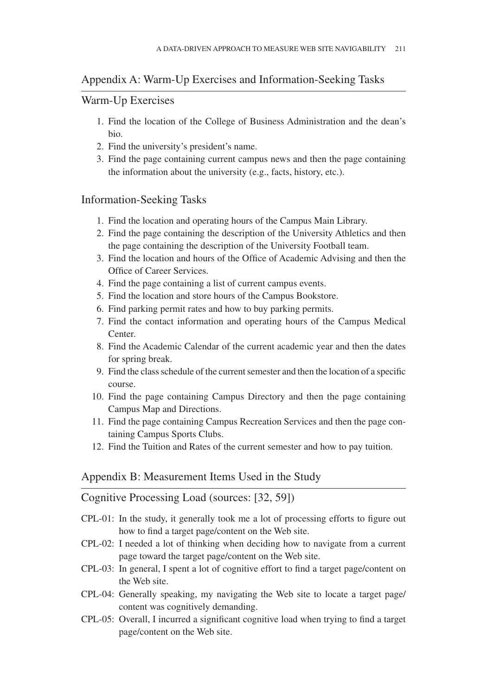## Appendix A: Warm-Up Exercises and Information-Seeking Tasks

## Warm-Up Exercises

- 1. Find the location of the College of Business Administration and the dean's bio.
- 2. Find the university's president's name.
- 3. Find the page containing current campus news and then the page containing the information about the university (e.g., facts, history, etc.).

## Information-Seeking Tasks

- 1. Find the location and operating hours of the Campus Main Library.
- 2. Find the page containing the description of the University Athletics and then the page containing the description of the University Football team.
- 3. Find the location and hours of the Office of Academic Advising and then the Office of Career Services.
- 4. Find the page containing a list of current campus events.
- 5. Find the location and store hours of the Campus Bookstore.
- 6. Find parking permit rates and how to buy parking permits.
- 7. Find the contact information and operating hours of the Campus Medical Center.
- 8. Find the Academic Calendar of the current academic year and then the dates for spring break.
- 9. Find the class schedule of the current semester and then the location of a specific course.
- 10. Find the page containing Campus Directory and then the page containing Campus Map and Directions.
- 11. Find the page containing Campus Recreation Services and then the page containing Campus Sports Clubs.
- 12. Find the Tuition and Rates of the current semester and how to pay tuition.

## Appendix B: Measurement Items Used in the Study

## Cognitive Processing Load (sources: [32, 59])

- CPL-01: In the study, it generally took me a lot of processing efforts to figure out how to find a target page/content on the Web site.
- CPL-02: I needed a lot of thinking when deciding how to navigate from a current page toward the target page/content on the Web site.
- CPL-03: In general, I spent a lot of cognitive effort to find a target page/content on the Web site.
- CPL-04: Generally speaking, my navigating the Web site to locate a target page/ content was cognitively demanding.
- CPL-05: Overall, I incurred a significant cognitive load when trying to find a target page/content on the Web site.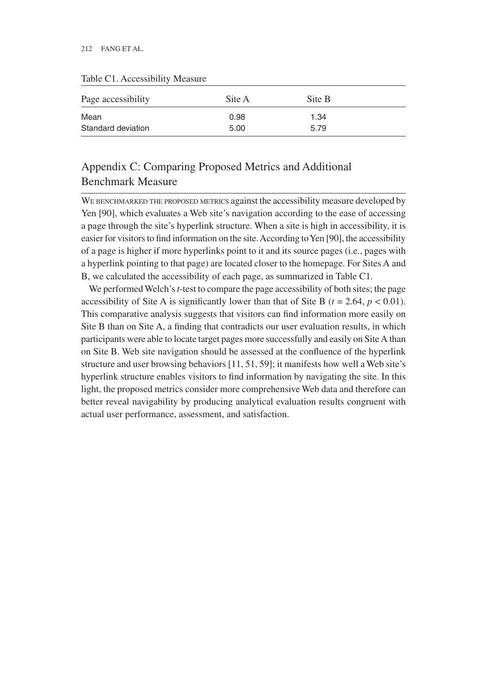| Page accessibility | Site A | Site B |  |
|--------------------|--------|--------|--|
| Mean               | 0.98   | 1.34   |  |
| Standard deviation | 5.00   | 5.79   |  |

#### Table C1. Accessibility Measure

# Appendix C: Comparing Proposed Metrics and Additional Benchmark Measure

WE BENCHMARKED THE PROPOSED METRICS against the accessibility measure developed by Yen [90], which evaluates a Web site's navigation according to the ease of accessing a page through the site's hyperlink structure. When a site is high in accessibility, it is easier for visitors to find information on the site. According to Yen [90], the accessibility of a page is higher if more hyperlinks point to it and its source pages (i.e., pages with a hyperlink pointing to that page) are located closer to the homepage. For Sites A and B, we calculated the accessibility of each page, as summarized in Table C1.

We performed Welch's *t*-test to compare the page accessibility of both sites; the page accessibility of Site A is significantly lower than that of Site B  $(t = 2.64, p < 0.01)$ . This comparative analysis suggests that visitors can find information more easily on Site B than on Site A, a finding that contradicts our user evaluation results, in which participants were able to locate target pages more successfully and easily on Site A than on Site B. Web site navigation should be assessed at the confluence of the hyperlink structure and user browsing behaviors [11, 51, 59]; it manifests how well a Web site's hyperlink structure enables visitors to find information by navigating the site. In this light, the proposed metrics consider more comprehensive Web data and therefore can better reveal navigability by producing analytical evaluation results congruent with actual user performance, assessment, and satisfaction.